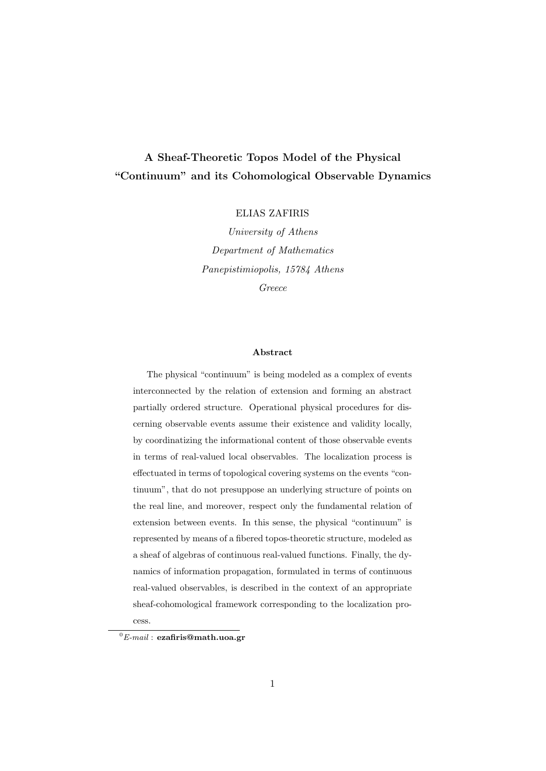# A Sheaf-Theoretic Topos Model of the Physical "Continuum" and its Cohomological Observable Dynamics

ELIAS ZAFIRIS

University of Athens Department of Mathematics Panepistimiopolis, 15784 Athens Greece

#### Abstract

The physical "continuum" is being modeled as a complex of events interconnected by the relation of extension and forming an abstract partially ordered structure. Operational physical procedures for discerning observable events assume their existence and validity locally, by coordinatizing the informational content of those observable events in terms of real-valued local observables. The localization process is effectuated in terms of topological covering systems on the events "continuum", that do not presuppose an underlying structure of points on the real line, and moreover, respect only the fundamental relation of extension between events. In this sense, the physical "continuum" is represented by means of a fibered topos-theoretic structure, modeled as a sheaf of algebras of continuous real-valued functions. Finally, the dynamics of information propagation, formulated in terms of continuous real-valued observables, is described in the context of an appropriate sheaf-cohomological framework corresponding to the localization process.

 ${}^{0}E$ -mail : ezafiris@math.uoa.gr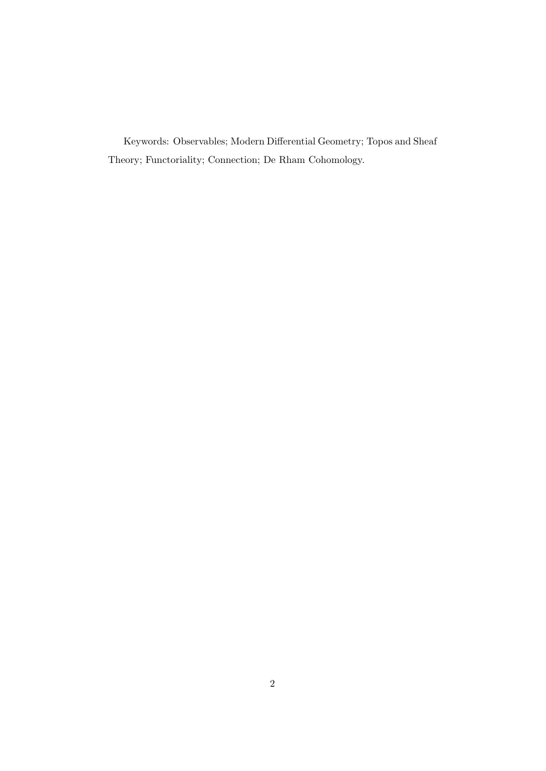Keywords: Observables; Modern Differential Geometry; Topos and Sheaf Theory; Functoriality; Connection; De Rham Cohomology.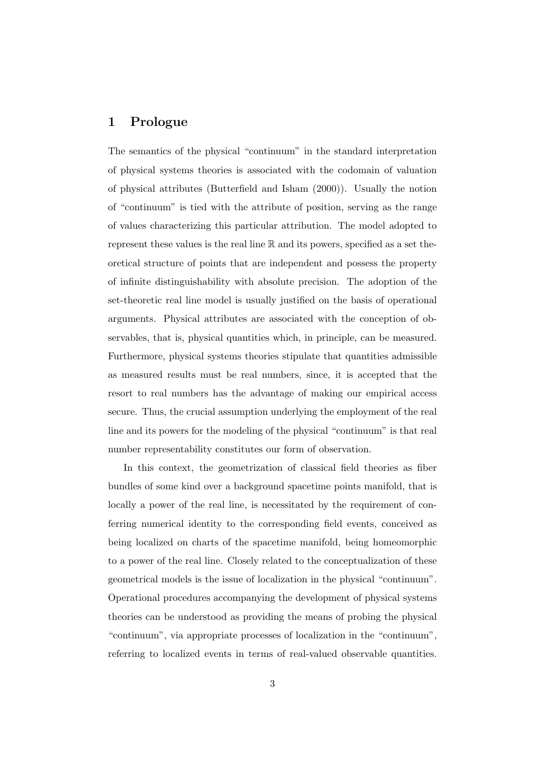#### 1 Prologue

The semantics of the physical "continuum" in the standard interpretation of physical systems theories is associated with the codomain of valuation of physical attributes (Butterfield and Isham (2000)). Usually the notion of "continuum" is tied with the attribute of position, serving as the range of values characterizing this particular attribution. The model adopted to represent these values is the real line R and its powers, specified as a set theoretical structure of points that are independent and possess the property of infinite distinguishability with absolute precision. The adoption of the set-theoretic real line model is usually justified on the basis of operational arguments. Physical attributes are associated with the conception of observables, that is, physical quantities which, in principle, can be measured. Furthermore, physical systems theories stipulate that quantities admissible as measured results must be real numbers, since, it is accepted that the resort to real numbers has the advantage of making our empirical access secure. Thus, the crucial assumption underlying the employment of the real line and its powers for the modeling of the physical "continuum" is that real number representability constitutes our form of observation.

In this context, the geometrization of classical field theories as fiber bundles of some kind over a background spacetime points manifold, that is locally a power of the real line, is necessitated by the requirement of conferring numerical identity to the corresponding field events, conceived as being localized on charts of the spacetime manifold, being homeomorphic to a power of the real line. Closely related to the conceptualization of these geometrical models is the issue of localization in the physical "continuum". Operational procedures accompanying the development of physical systems theories can be understood as providing the means of probing the physical "continuum", via appropriate processes of localization in the "continuum", referring to localized events in terms of real-valued observable quantities.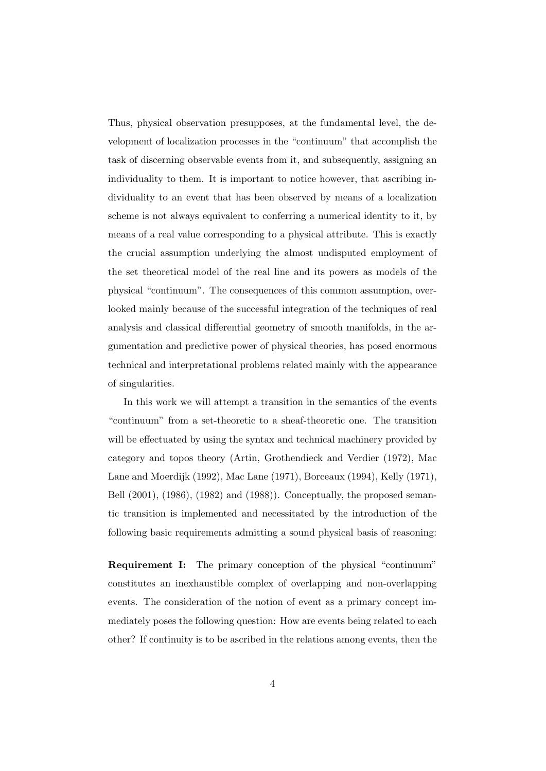Thus, physical observation presupposes, at the fundamental level, the development of localization processes in the "continuum" that accomplish the task of discerning observable events from it, and subsequently, assigning an individuality to them. It is important to notice however, that ascribing individuality to an event that has been observed by means of a localization scheme is not always equivalent to conferring a numerical identity to it, by means of a real value corresponding to a physical attribute. This is exactly the crucial assumption underlying the almost undisputed employment of the set theoretical model of the real line and its powers as models of the physical "continuum". The consequences of this common assumption, overlooked mainly because of the successful integration of the techniques of real analysis and classical differential geometry of smooth manifolds, in the argumentation and predictive power of physical theories, has posed enormous technical and interpretational problems related mainly with the appearance of singularities.

In this work we will attempt a transition in the semantics of the events "continuum" from a set-theoretic to a sheaf-theoretic one. The transition will be effectuated by using the syntax and technical machinery provided by category and topos theory (Artin, Grothendieck and Verdier (1972), Mac Lane and Moerdijk (1992), Mac Lane (1971), Borceaux (1994), Kelly (1971), Bell (2001), (1986), (1982) and (1988)). Conceptually, the proposed semantic transition is implemented and necessitated by the introduction of the following basic requirements admitting a sound physical basis of reasoning:

Requirement I: The primary conception of the physical "continuum" constitutes an inexhaustible complex of overlapping and non-overlapping events. The consideration of the notion of event as a primary concept immediately poses the following question: How are events being related to each other? If continuity is to be ascribed in the relations among events, then the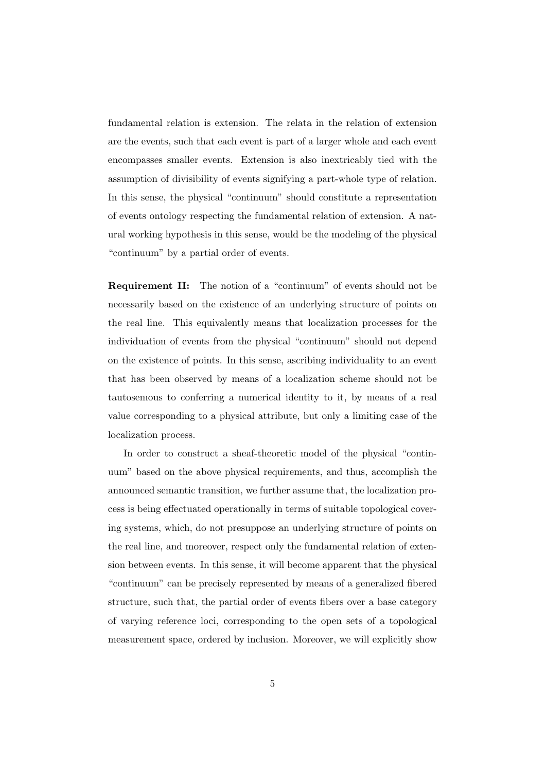fundamental relation is extension. The relata in the relation of extension are the events, such that each event is part of a larger whole and each event encompasses smaller events. Extension is also inextricably tied with the assumption of divisibility of events signifying a part-whole type of relation. In this sense, the physical "continuum" should constitute a representation of events ontology respecting the fundamental relation of extension. A natural working hypothesis in this sense, would be the modeling of the physical "continuum" by a partial order of events.

Requirement II: The notion of a "continuum" of events should not be necessarily based on the existence of an underlying structure of points on the real line. This equivalently means that localization processes for the individuation of events from the physical "continuum" should not depend on the existence of points. In this sense, ascribing individuality to an event that has been observed by means of a localization scheme should not be tautosemous to conferring a numerical identity to it, by means of a real value corresponding to a physical attribute, but only a limiting case of the localization process.

In order to construct a sheaf-theoretic model of the physical "continuum" based on the above physical requirements, and thus, accomplish the announced semantic transition, we further assume that, the localization process is being effectuated operationally in terms of suitable topological covering systems, which, do not presuppose an underlying structure of points on the real line, and moreover, respect only the fundamental relation of extension between events. In this sense, it will become apparent that the physical "continuum" can be precisely represented by means of a generalized fibered structure, such that, the partial order of events fibers over a base category of varying reference loci, corresponding to the open sets of a topological measurement space, ordered by inclusion. Moreover, we will explicitly show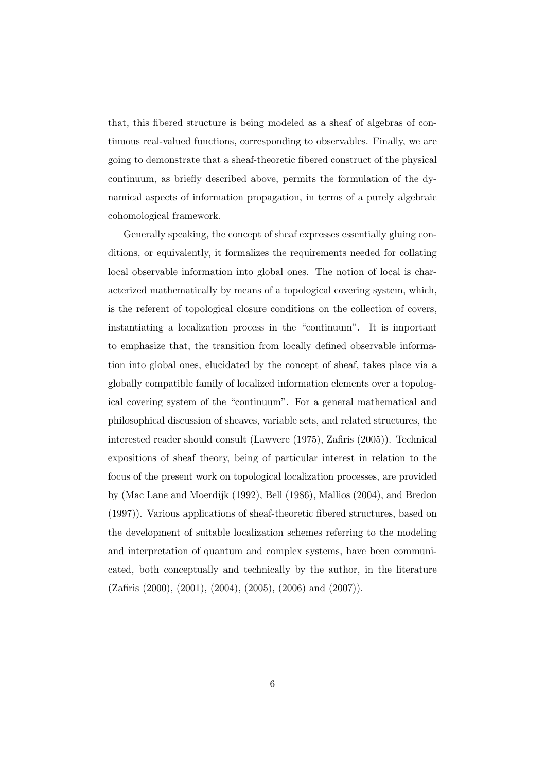that, this fibered structure is being modeled as a sheaf of algebras of continuous real-valued functions, corresponding to observables. Finally, we are going to demonstrate that a sheaf-theoretic fibered construct of the physical continuum, as briefly described above, permits the formulation of the dynamical aspects of information propagation, in terms of a purely algebraic cohomological framework.

Generally speaking, the concept of sheaf expresses essentially gluing conditions, or equivalently, it formalizes the requirements needed for collating local observable information into global ones. The notion of local is characterized mathematically by means of a topological covering system, which, is the referent of topological closure conditions on the collection of covers, instantiating a localization process in the "continuum". It is important to emphasize that, the transition from locally defined observable information into global ones, elucidated by the concept of sheaf, takes place via a globally compatible family of localized information elements over a topological covering system of the "continuum". For a general mathematical and philosophical discussion of sheaves, variable sets, and related structures, the interested reader should consult (Lawvere (1975), Zafiris (2005)). Technical expositions of sheaf theory, being of particular interest in relation to the focus of the present work on topological localization processes, are provided by (Mac Lane and Moerdijk (1992), Bell (1986), Mallios (2004), and Bredon (1997)). Various applications of sheaf-theoretic fibered structures, based on the development of suitable localization schemes referring to the modeling and interpretation of quantum and complex systems, have been communicated, both conceptually and technically by the author, in the literature  $(Zafiris (2000), (2001), (2004), (2005), (2006) \text{ and } (2007)).$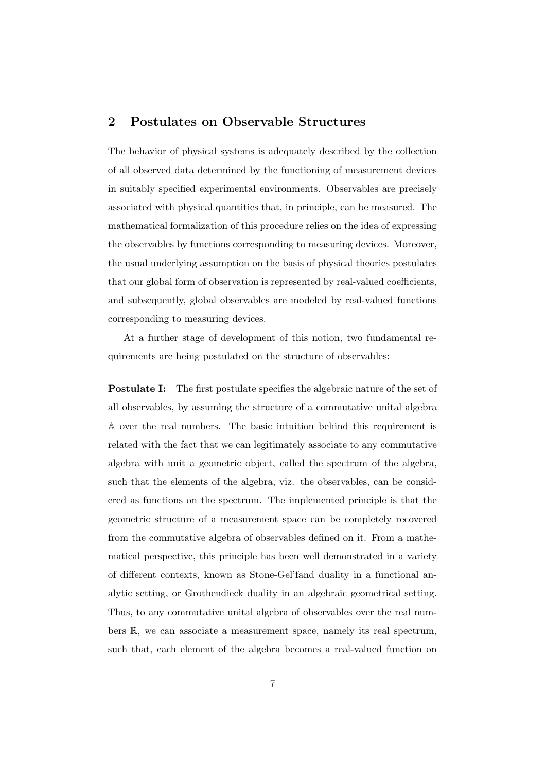### 2 Postulates on Observable Structures

The behavior of physical systems is adequately described by the collection of all observed data determined by the functioning of measurement devices in suitably specified experimental environments. Observables are precisely associated with physical quantities that, in principle, can be measured. The mathematical formalization of this procedure relies on the idea of expressing the observables by functions corresponding to measuring devices. Moreover, the usual underlying assumption on the basis of physical theories postulates that our global form of observation is represented by real-valued coefficients, and subsequently, global observables are modeled by real-valued functions corresponding to measuring devices.

At a further stage of development of this notion, two fundamental requirements are being postulated on the structure of observables:

**Postulate I:** The first postulate specifies the algebraic nature of the set of all observables, by assuming the structure of a commutative unital algebra A over the real numbers. The basic intuition behind this requirement is related with the fact that we can legitimately associate to any commutative algebra with unit a geometric object, called the spectrum of the algebra, such that the elements of the algebra, viz. the observables, can be considered as functions on the spectrum. The implemented principle is that the geometric structure of a measurement space can be completely recovered from the commutative algebra of observables defined on it. From a mathematical perspective, this principle has been well demonstrated in a variety of different contexts, known as Stone-Gel'fand duality in a functional analytic setting, or Grothendieck duality in an algebraic geometrical setting. Thus, to any commutative unital algebra of observables over the real numbers R, we can associate a measurement space, namely its real spectrum, such that, each element of the algebra becomes a real-valued function on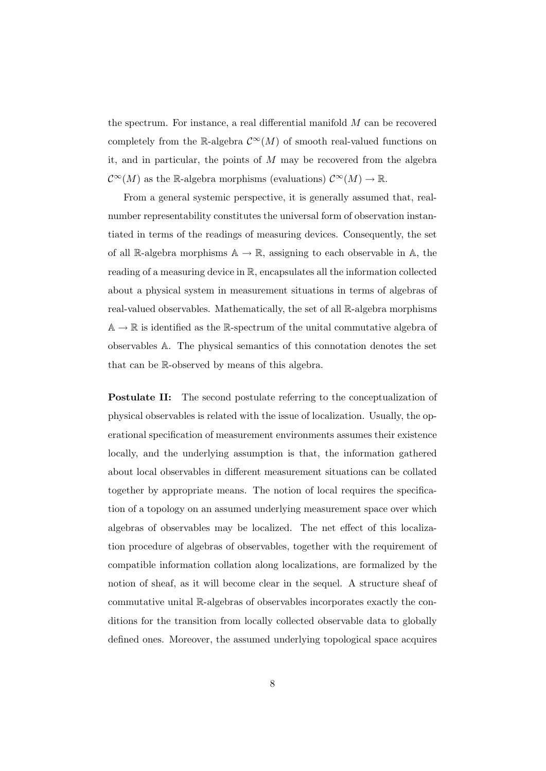the spectrum. For instance, a real differential manifold M can be recovered completely from the R-algebra  $\mathcal{C}^{\infty}(M)$  of smooth real-valued functions on it, and in particular, the points of  $M$  may be recovered from the algebra  $\mathcal{C}^{\infty}(M)$  as the R-algebra morphisms (evaluations)  $\mathcal{C}^{\infty}(M) \to \mathbb{R}$ .

From a general systemic perspective, it is generally assumed that, realnumber representability constitutes the universal form of observation instantiated in terms of the readings of measuring devices. Consequently, the set of all R-algebra morphisms  $A \to \mathbb{R}$ , assigning to each observable in A, the reading of a measuring device in R, encapsulates all the information collected about a physical system in measurement situations in terms of algebras of real-valued observables. Mathematically, the set of all R-algebra morphisms  $A \rightarrow \mathbb{R}$  is identified as the R-spectrum of the unital commutative algebra of observables A. The physical semantics of this connotation denotes the set that can be R-observed by means of this algebra.

**Postulate II:** The second postulate referring to the conceptualization of physical observables is related with the issue of localization. Usually, the operational specification of measurement environments assumes their existence locally, and the underlying assumption is that, the information gathered about local observables in different measurement situations can be collated together by appropriate means. The notion of local requires the specification of a topology on an assumed underlying measurement space over which algebras of observables may be localized. The net effect of this localization procedure of algebras of observables, together with the requirement of compatible information collation along localizations, are formalized by the notion of sheaf, as it will become clear in the sequel. A structure sheaf of commutative unital R-algebras of observables incorporates exactly the conditions for the transition from locally collected observable data to globally defined ones. Moreover, the assumed underlying topological space acquires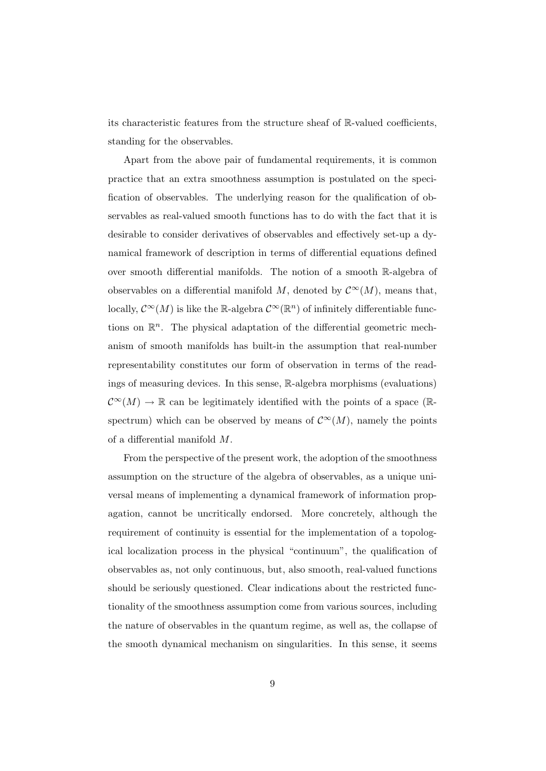its characteristic features from the structure sheaf of R-valued coefficients, standing for the observables.

Apart from the above pair of fundamental requirements, it is common practice that an extra smoothness assumption is postulated on the specification of observables. The underlying reason for the qualification of observables as real-valued smooth functions has to do with the fact that it is desirable to consider derivatives of observables and effectively set-up a dynamical framework of description in terms of differential equations defined over smooth differential manifolds. The notion of a smooth R-algebra of observables on a differential manifold M, denoted by  $\mathcal{C}^{\infty}(M)$ , means that, locally,  $\mathcal{C}^{\infty}(M)$  is like the R-algebra  $\mathcal{C}^{\infty}(\mathbb{R}^{n})$  of infinitely differentiable functions on  $\mathbb{R}^n$ . The physical adaptation of the differential geometric mechanism of smooth manifolds has built-in the assumption that real-number representability constitutes our form of observation in terms of the readings of measuring devices. In this sense, R-algebra morphisms (evaluations)  $\mathcal{C}^{\infty}(M) \to \mathbb{R}$  can be legitimately identified with the points of a space ( $\mathbb{R}$ spectrum) which can be observed by means of  $\mathcal{C}^{\infty}(M)$ , namely the points of a differential manifold M.

From the perspective of the present work, the adoption of the smoothness assumption on the structure of the algebra of observables, as a unique universal means of implementing a dynamical framework of information propagation, cannot be uncritically endorsed. More concretely, although the requirement of continuity is essential for the implementation of a topological localization process in the physical "continuum", the qualification of observables as, not only continuous, but, also smooth, real-valued functions should be seriously questioned. Clear indications about the restricted functionality of the smoothness assumption come from various sources, including the nature of observables in the quantum regime, as well as, the collapse of the smooth dynamical mechanism on singularities. In this sense, it seems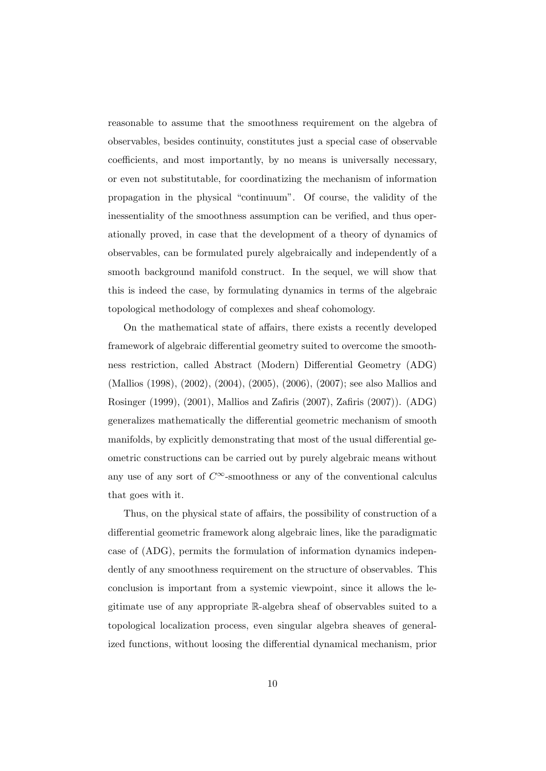reasonable to assume that the smoothness requirement on the algebra of observables, besides continuity, constitutes just a special case of observable coefficients, and most importantly, by no means is universally necessary, or even not substitutable, for coordinatizing the mechanism of information propagation in the physical "continuum". Of course, the validity of the inessentiality of the smoothness assumption can be verified, and thus operationally proved, in case that the development of a theory of dynamics of observables, can be formulated purely algebraically and independently of a smooth background manifold construct. In the sequel, we will show that this is indeed the case, by formulating dynamics in terms of the algebraic topological methodology of complexes and sheaf cohomology.

On the mathematical state of affairs, there exists a recently developed framework of algebraic differential geometry suited to overcome the smoothness restriction, called Abstract (Modern) Differential Geometry (ADG) (Mallios (1998), (2002), (2004), (2005), (2006), (2007); see also Mallios and Rosinger (1999), (2001), Mallios and Zafiris (2007), Zafiris (2007)). (ADG) generalizes mathematically the differential geometric mechanism of smooth manifolds, by explicitly demonstrating that most of the usual differential geometric constructions can be carried out by purely algebraic means without any use of any sort of  $C^{\infty}$ -smoothness or any of the conventional calculus that goes with it.

Thus, on the physical state of affairs, the possibility of construction of a differential geometric framework along algebraic lines, like the paradigmatic case of (ADG), permits the formulation of information dynamics independently of any smoothness requirement on the structure of observables. This conclusion is important from a systemic viewpoint, since it allows the legitimate use of any appropriate R-algebra sheaf of observables suited to a topological localization process, even singular algebra sheaves of generalized functions, without loosing the differential dynamical mechanism, prior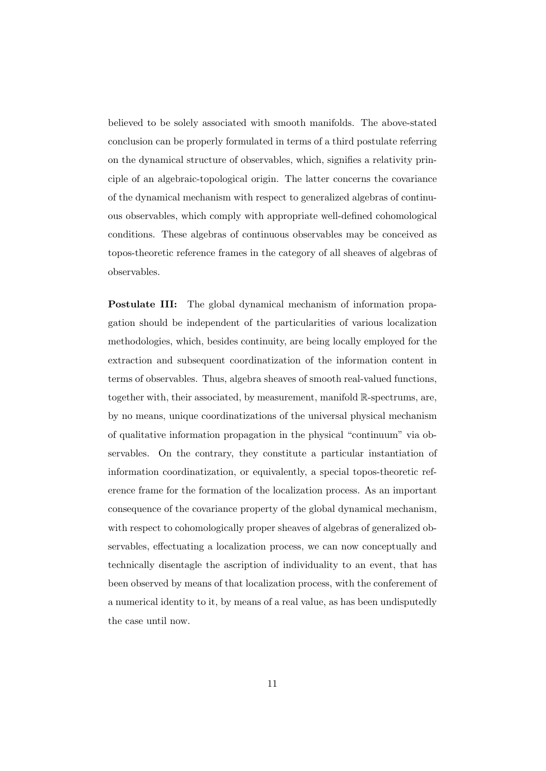believed to be solely associated with smooth manifolds. The above-stated conclusion can be properly formulated in terms of a third postulate referring on the dynamical structure of observables, which, signifies a relativity principle of an algebraic-topological origin. The latter concerns the covariance of the dynamical mechanism with respect to generalized algebras of continuous observables, which comply with appropriate well-defined cohomological conditions. These algebras of continuous observables may be conceived as topos-theoretic reference frames in the category of all sheaves of algebras of observables.

Postulate III: The global dynamical mechanism of information propagation should be independent of the particularities of various localization methodologies, which, besides continuity, are being locally employed for the extraction and subsequent coordinatization of the information content in terms of observables. Thus, algebra sheaves of smooth real-valued functions, together with, their associated, by measurement, manifold R-spectrums, are, by no means, unique coordinatizations of the universal physical mechanism of qualitative information propagation in the physical "continuum" via observables. On the contrary, they constitute a particular instantiation of information coordinatization, or equivalently, a special topos-theoretic reference frame for the formation of the localization process. As an important consequence of the covariance property of the global dynamical mechanism, with respect to cohomologically proper sheaves of algebras of generalized observables, effectuating a localization process, we can now conceptually and technically disentagle the ascription of individuality to an event, that has been observed by means of that localization process, with the conferement of a numerical identity to it, by means of a real value, as has been undisputedly the case until now.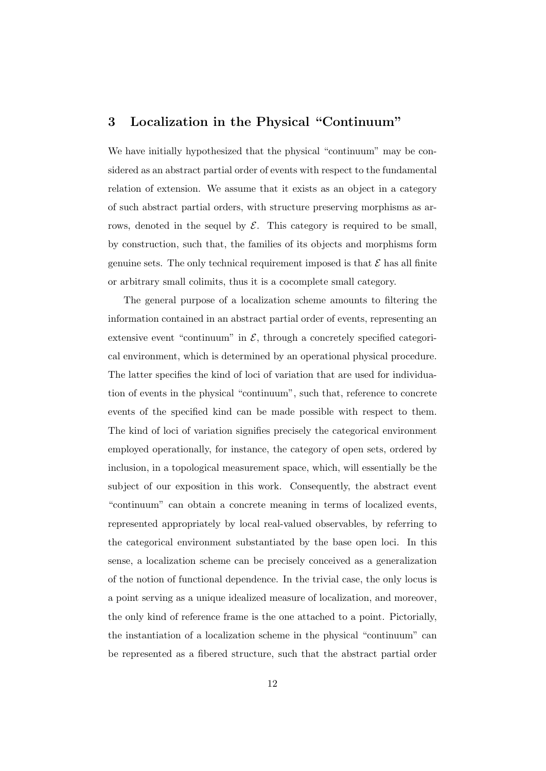## 3 Localization in the Physical "Continuum"

We have initially hypothesized that the physical "continuum" may be considered as an abstract partial order of events with respect to the fundamental relation of extension. We assume that it exists as an object in a category of such abstract partial orders, with structure preserving morphisms as arrows, denoted in the sequel by  $\mathcal{E}$ . This category is required to be small, by construction, such that, the families of its objects and morphisms form genuine sets. The only technical requirement imposed is that  $\mathcal E$  has all finite or arbitrary small colimits, thus it is a cocomplete small category.

The general purpose of a localization scheme amounts to filtering the information contained in an abstract partial order of events, representing an extensive event "continuum" in  $\mathcal{E}$ , through a concretely specified categorical environment, which is determined by an operational physical procedure. The latter specifies the kind of loci of variation that are used for individuation of events in the physical "continuum", such that, reference to concrete events of the specified kind can be made possible with respect to them. The kind of loci of variation signifies precisely the categorical environment employed operationally, for instance, the category of open sets, ordered by inclusion, in a topological measurement space, which, will essentially be the subject of our exposition in this work. Consequently, the abstract event "continuum" can obtain a concrete meaning in terms of localized events, represented appropriately by local real-valued observables, by referring to the categorical environment substantiated by the base open loci. In this sense, a localization scheme can be precisely conceived as a generalization of the notion of functional dependence. In the trivial case, the only locus is a point serving as a unique idealized measure of localization, and moreover, the only kind of reference frame is the one attached to a point. Pictorially, the instantiation of a localization scheme in the physical "continuum" can be represented as a fibered structure, such that the abstract partial order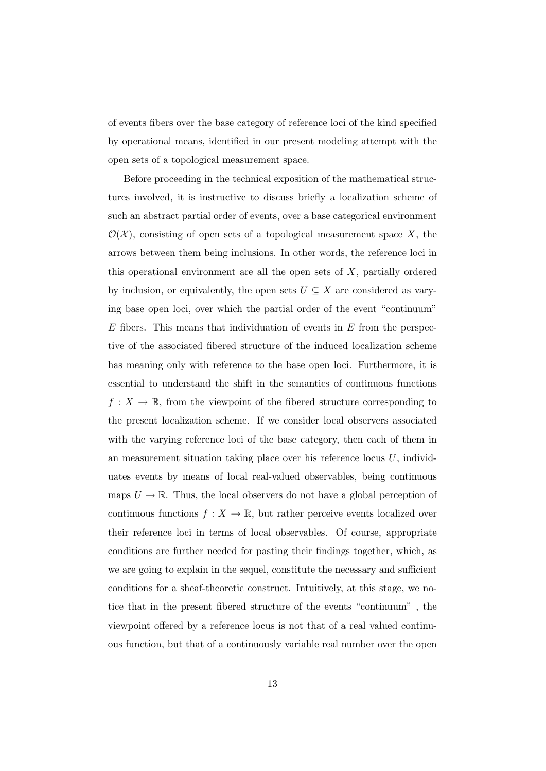of events fibers over the base category of reference loci of the kind specified by operational means, identified in our present modeling attempt with the open sets of a topological measurement space.

Before proceeding in the technical exposition of the mathematical structures involved, it is instructive to discuss briefly a localization scheme of such an abstract partial order of events, over a base categorical environment  $\mathcal{O}(\mathcal{X})$ , consisting of open sets of a topological measurement space X, the arrows between them being inclusions. In other words, the reference loci in this operational environment are all the open sets of  $X$ , partially ordered by inclusion, or equivalently, the open sets  $U \subseteq X$  are considered as varying base open loci, over which the partial order of the event "continuum"  $E$  fibers. This means that individuation of events in  $E$  from the perspective of the associated fibered structure of the induced localization scheme has meaning only with reference to the base open loci. Furthermore, it is essential to understand the shift in the semantics of continuous functions  $f: X \to \mathbb{R}$ , from the viewpoint of the fibered structure corresponding to the present localization scheme. If we consider local observers associated with the varying reference loci of the base category, then each of them in an measurement situation taking place over his reference locus U, individuates events by means of local real-valued observables, being continuous maps  $U \to \mathbb{R}$ . Thus, the local observers do not have a global perception of continuous functions  $f: X \to \mathbb{R}$ , but rather perceive events localized over their reference loci in terms of local observables. Of course, appropriate conditions are further needed for pasting their findings together, which, as we are going to explain in the sequel, constitute the necessary and sufficient conditions for a sheaf-theoretic construct. Intuitively, at this stage, we notice that in the present fibered structure of the events "continuum" , the viewpoint offered by a reference locus is not that of a real valued continuous function, but that of a continuously variable real number over the open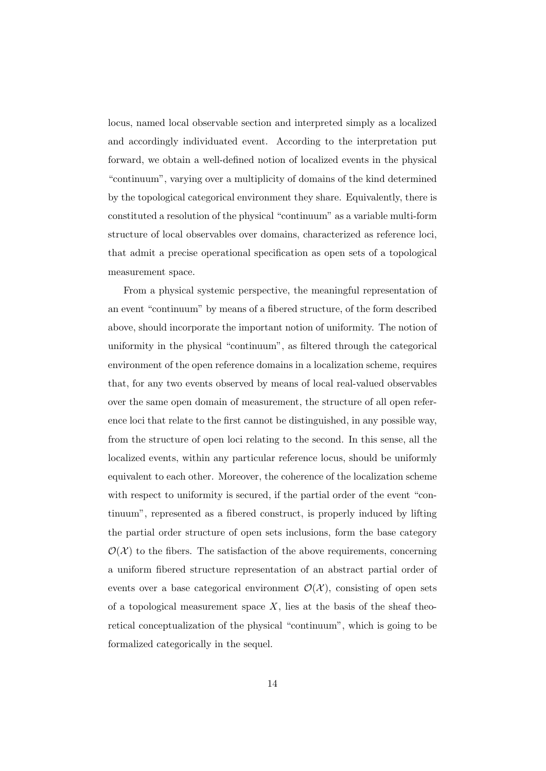locus, named local observable section and interpreted simply as a localized and accordingly individuated event. According to the interpretation put forward, we obtain a well-defined notion of localized events in the physical "continuum", varying over a multiplicity of domains of the kind determined by the topological categorical environment they share. Equivalently, there is constituted a resolution of the physical "continuum" as a variable multi-form structure of local observables over domains, characterized as reference loci, that admit a precise operational specification as open sets of a topological measurement space.

From a physical systemic perspective, the meaningful representation of an event "continuum" by means of a fibered structure, of the form described above, should incorporate the important notion of uniformity. The notion of uniformity in the physical "continuum", as filtered through the categorical environment of the open reference domains in a localization scheme, requires that, for any two events observed by means of local real-valued observables over the same open domain of measurement, the structure of all open reference loci that relate to the first cannot be distinguished, in any possible way, from the structure of open loci relating to the second. In this sense, all the localized events, within any particular reference locus, should be uniformly equivalent to each other. Moreover, the coherence of the localization scheme with respect to uniformity is secured, if the partial order of the event "continuum", represented as a fibered construct, is properly induced by lifting the partial order structure of open sets inclusions, form the base category  $\mathcal{O}(\mathcal{X})$  to the fibers. The satisfaction of the above requirements, concerning a uniform fibered structure representation of an abstract partial order of events over a base categorical environment  $\mathcal{O}(\mathcal{X})$ , consisting of open sets of a topological measurement space  $X$ , lies at the basis of the sheaf theoretical conceptualization of the physical "continuum", which is going to be formalized categorically in the sequel.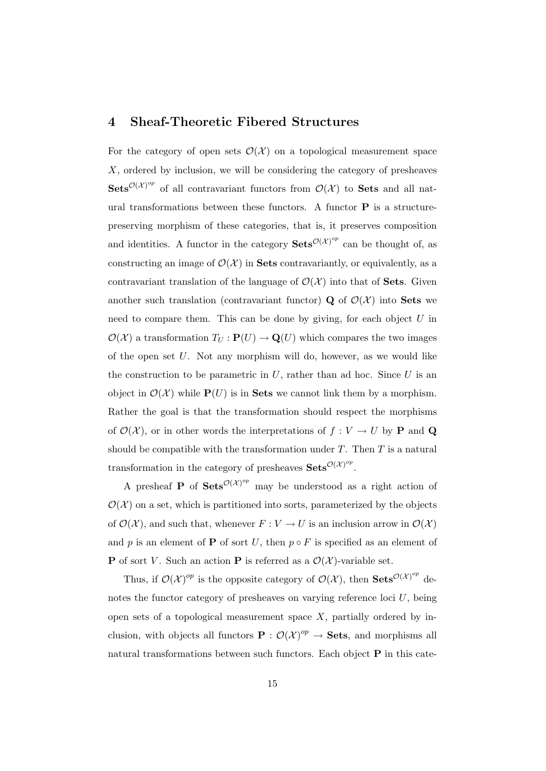#### 4 Sheaf-Theoretic Fibered Structures

For the category of open sets  $\mathcal{O}(\mathcal{X})$  on a topological measurement space  $X$ , ordered by inclusion, we will be considering the category of presheaves Sets<sup> $\mathcal{O}(\mathcal{X})^{op}$ </sup> of all contravariant functors from  $\mathcal{O}(\mathcal{X})$  to Sets and all natural transformations between these functors. A functor  $P$  is a structurepreserving morphism of these categories, that is, it preserves composition and identities. A functor in the category  $\textbf{Sets}^{\mathcal{O}(\mathcal{X})^{op}}$  can be thought of, as constructing an image of  $\mathcal{O}(\mathcal{X})$  in **Sets** contravariantly, or equivalently, as a contravariant translation of the language of  $\mathcal{O}(\mathcal{X})$  into that of **Sets**. Given another such translation (contravariant functor) **Q** of  $\mathcal{O}(\mathcal{X})$  into **Sets** we need to compare them. This can be done by giving, for each object  $U$  in  $\mathcal{O}(\mathcal{X})$  a transformation  $T_U : \mathbf{P}(U) \to \mathbf{Q}(U)$  which compares the two images of the open set U. Not any morphism will do, however, as we would like the construction to be parametric in  $U$ , rather than ad hoc. Since  $U$  is an object in  $\mathcal{O}(\mathcal{X})$  while  $\mathbf{P}(U)$  is in **Sets** we cannot link them by a morphism. Rather the goal is that the transformation should respect the morphisms of  $\mathcal{O}(\mathcal{X})$ , or in other words the interpretations of  $f: V \to U$  by **P** and **Q** should be compatible with the transformation under  $T$ . Then  $T$  is a natural transformation in the category of presheaves  $\textbf{Sets}^{\mathcal{O}(\mathcal{X})^{op}}$ .

A presheaf **P** of  $Sets^{\mathcal{O}(\mathcal{X})^{op}}$  may be understood as a right action of  $\mathcal{O}(\mathcal{X})$  on a set, which is partitioned into sorts, parameterized by the objects of  $\mathcal{O}(\mathcal{X})$ , and such that, whenever  $F: V \to U$  is an inclusion arrow in  $\mathcal{O}(\mathcal{X})$ and p is an element of P of sort U, then  $p \circ F$  is specified as an element of **P** of sort V. Such an action **P** is referred as a  $\mathcal{O}(\mathcal{X})$ -variable set.

Thus, if  $\mathcal{O}(\mathcal{X})^{op}$  is the opposite category of  $\mathcal{O}(\mathcal{X})$ , then  $\textbf{Sets}^{\mathcal{O}(\mathcal{X})^{op}}$  denotes the functor category of presheaves on varying reference loci  $U$ , being open sets of a topological measurement space  $X$ , partially ordered by inclusion, with objects all functors  $\mathbf{P}: \mathcal{O}(\mathcal{X})^{op} \to \mathbf{Sets}$ , and morphisms all natural transformations between such functors. Each object P in this cate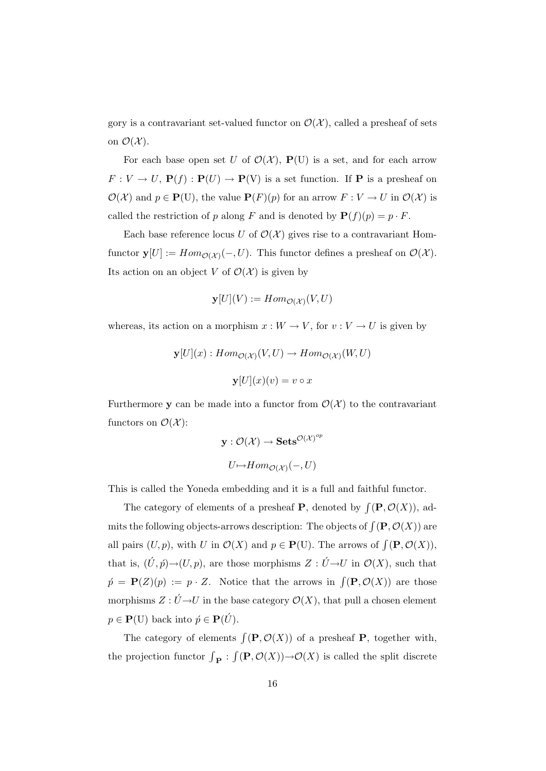gory is a contravariant set-valued functor on  $\mathcal{O}(\mathcal{X})$ , called a presheaf of sets on  $\mathcal{O}(\mathcal{X})$ .

For each base open set U of  $\mathcal{O}(\mathcal{X})$ ,  $\mathbf{P}(U)$  is a set, and for each arrow  $F: V \to U$ ,  $P(f): P(U) \to P(V)$  is a set function. If P is a presheaf on  $\mathcal{O}(\mathcal{X})$  and  $p \in \mathbf{P}(U)$ , the value  $\mathbf{P}(F)(p)$  for an arrow  $F: V \to U$  in  $\mathcal{O}(\mathcal{X})$  is called the restriction of p along F and is denoted by  $P(f)(p) = p \cdot F$ .

Each base reference locus U of  $\mathcal{O}(\mathcal{X})$  gives rise to a contravariant Homfunctor  $\mathbf{y}[U] := Hom_{\mathcal{O}(\mathcal{X})}(-, U)$ . This functor defines a presheaf on  $\mathcal{O}(\mathcal{X})$ . Its action on an object V of  $\mathcal{O}(\mathcal{X})$  is given by

$$
\mathbf{y}[U](V) := Hom_{\mathcal{O}(\mathcal{X})}(V, U)
$$

whereas, its action on a morphism  $x : W \to V$ , for  $v : V \to U$  is given by

$$
\mathbf{y}[U](x) : Hom_{\mathcal{O}(\mathcal{X})}(V, U) \to Hom_{\mathcal{O}(\mathcal{X})}(W, U)
$$

$$
\mathbf{y}[U](x)(v) = v \circ x
$$

Furthermore y can be made into a functor from  $\mathcal{O}(\mathcal{X})$  to the contravariant functors on  $\mathcal{O}(\mathcal{X})$ :

$$
\mathbf{y}: \mathcal{O}(\mathcal{X}) \to \mathbf{Sets}^{\mathcal{O}(\mathcal{X})^{op}}
$$

$$
U \mapsto Hom_{\mathcal{O}(\mathcal{X})}(-,U)
$$

This is called the Yoneda embedding and it is a full and faithful functor.

The category of elements of a presheaf **P**, denoted by  $\int (\mathbf{P}, \mathcal{O}(X))$ , admits the following objects-arrows description: The objects of  $\int (P, \mathcal{O}(X))$  are all pairs  $(U, p)$ , with U in  $\mathcal{O}(X)$  and  $p \in \mathbf{P}(U)$ . The arrows of  $\int (\mathbf{P}, \mathcal{O}(X)),$ that is,  $(\check{U}, \check{p}) \rightarrow (U, p)$ , are those morphisms  $Z : \check{U} \rightarrow U$  in  $\mathcal{O}(X)$ , such that  $\hat{p} = \mathbf{P}(Z)(p) := p \cdot Z$ . Notice that the arrows in  $\int (\mathbf{P}, \mathcal{O}(X))$  are those morphisms  $Z : \check{U} \to U$  in the base category  $\mathcal{O}(X)$ , that pull a chosen element  $p \in \mathbf{P}(U)$  back into  $\acute{p} \in \mathbf{P}(\acute{U})$ .

The category of elements  $\int (P, \mathcal{O}(X))$  of a presheaf P, together with, the projection functor  $\int_{\mathbf{P}} : \int (\mathbf{P}, \mathcal{O}(X)) \to \mathcal{O}(X)$  is called the split discrete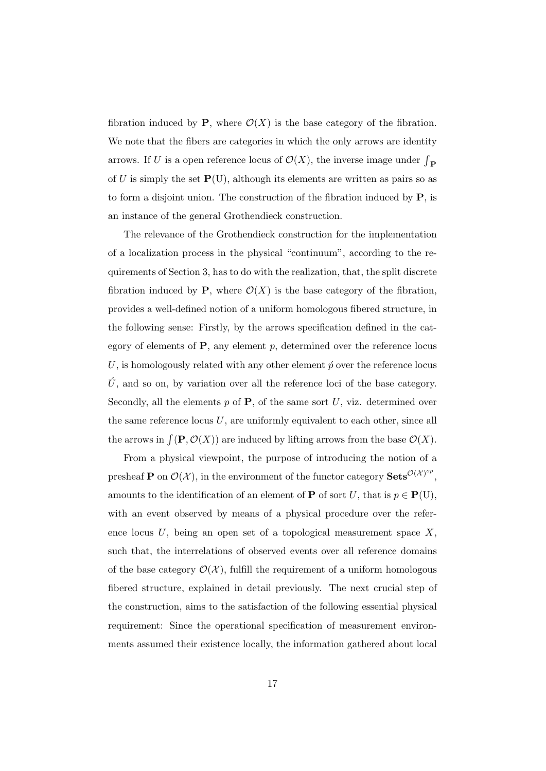fibration induced by **P**, where  $\mathcal{O}(X)$  is the base category of the fibration. We note that the fibers are categories in which the only arrows are identity arrows. If U is a open reference locus of  $\mathcal{O}(X)$ , the inverse image under  $\int_{\mathbf{P}}$ of U is simply the set  $P(U)$ , although its elements are written as pairs so as to form a disjoint union. The construction of the fibration induced by  $P$ , is an instance of the general Grothendieck construction.

The relevance of the Grothendieck construction for the implementation of a localization process in the physical "continuum", according to the requirements of Section 3, has to do with the realization, that, the split discrete fibration induced by **P**, where  $\mathcal{O}(X)$  is the base category of the fibration, provides a well-defined notion of a uniform homologous fibered structure, in the following sense: Firstly, by the arrows specification defined in the category of elements of  $P$ , any element  $p$ , determined over the reference locus U, is homologously related with any other element  $\acute{p}$  over the reference locus  $\hat{U}$ , and so on, by variation over all the reference loci of the base category. Secondly, all the elements  $p$  of  $P$ , of the same sort  $U$ , viz. determined over the same reference locus  $U$ , are uniformly equivalent to each other, since all the arrows in  $\int (P, \mathcal{O}(X))$  are induced by lifting arrows from the base  $\mathcal{O}(X)$ .

From a physical viewpoint, the purpose of introducing the notion of a presheaf **P** on  $\mathcal{O}(\mathcal{X})$ , in the environment of the functor category **Sets**  $\mathcal{O}(\mathcal{X})^{op}$ , amounts to the identification of an element of **P** of sort U, that is  $p \in \mathbf{P}(U)$ , with an event observed by means of a physical procedure over the reference locus  $U$ , being an open set of a topological measurement space  $X$ , such that, the interrelations of observed events over all reference domains of the base category  $\mathcal{O}(\mathcal{X})$ , fulfill the requirement of a uniform homologous fibered structure, explained in detail previously. The next crucial step of the construction, aims to the satisfaction of the following essential physical requirement: Since the operational specification of measurement environments assumed their existence locally, the information gathered about local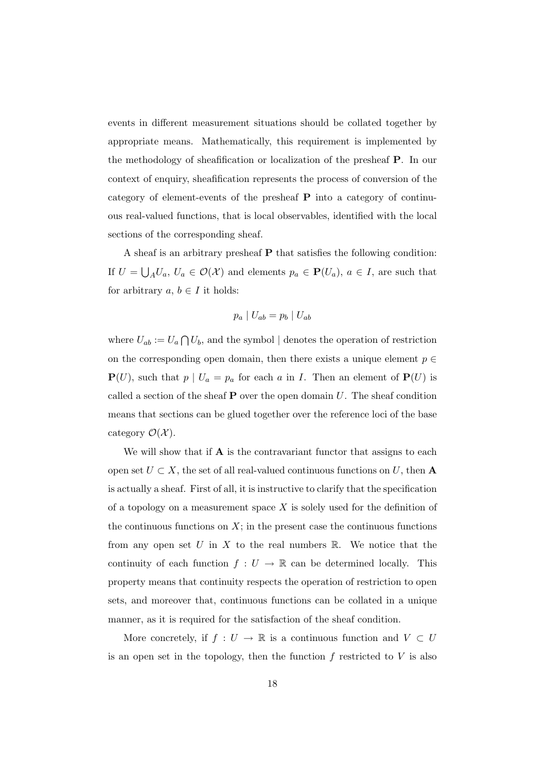events in different measurement situations should be collated together by appropriate means. Mathematically, this requirement is implemented by the methodology of sheafification or localization of the presheaf P. In our context of enquiry, sheafification represents the process of conversion of the category of element-events of the presheaf P into a category of continuous real-valued functions, that is local observables, identified with the local sections of the corresponding sheaf.

A sheaf is an arbitrary presheaf  $P$  that satisfies the following condition: If  $U = \bigcup_A U_a$ ,  $U_a \in \mathcal{O}(\mathcal{X})$  and elements  $p_a \in \mathbf{P}(U_a)$ ,  $a \in I$ , are such that for arbitrary  $a, b \in I$  it holds:

$$
p_a \mid U_{ab} = p_b \mid U_{ab}
$$

where  $U_{ab} := U_a \cap U_b$ , and the symbol | denotes the operation of restriction on the corresponding open domain, then there exists a unique element  $p \in$  $\mathbf{P}(U)$ , such that  $p | U_a = p_a$  for each a in I. Then an element of  $\mathbf{P}(U)$  is called a section of the sheaf  $P$  over the open domain U. The sheaf condition means that sections can be glued together over the reference loci of the base category  $\mathcal{O}(\mathcal{X})$ .

We will show that if  $\bf{A}$  is the contravariant functor that assigns to each open set  $U \subset X$ , the set of all real-valued continuous functions on U, then **A** is actually a sheaf. First of all, it is instructive to clarify that the specification of a topology on a measurement space  $X$  is solely used for the definition of the continuous functions on  $X$ ; in the present case the continuous functions from any open set  $U$  in  $X$  to the real numbers  $\mathbb R$ . We notice that the continuity of each function  $f: U \to \mathbb{R}$  can be determined locally. This property means that continuity respects the operation of restriction to open sets, and moreover that, continuous functions can be collated in a unique manner, as it is required for the satisfaction of the sheaf condition.

More concretely, if  $f: U \to \mathbb{R}$  is a continuous function and  $V \subset U$ is an open set in the topology, then the function  $f$  restricted to  $V$  is also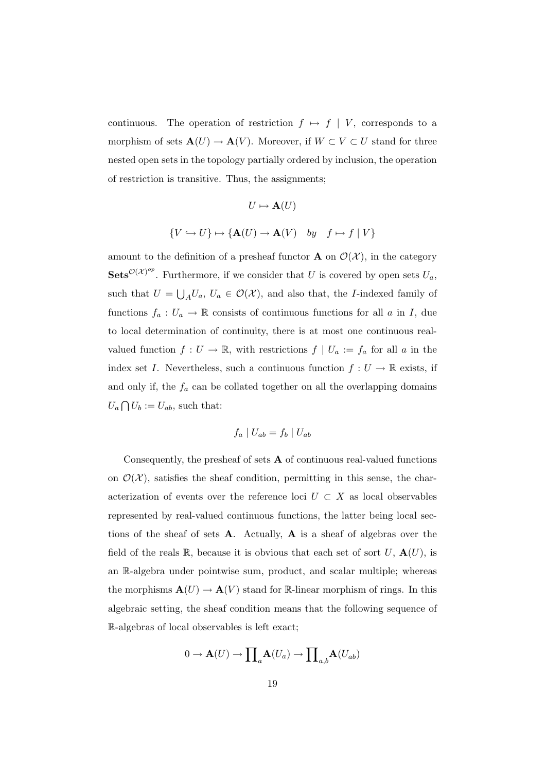continuous. The operation of restriction  $f \mapsto f \mid V$ , corresponds to a morphism of sets  $\mathbf{A}(U) \to \mathbf{A}(V)$ . Moreover, if  $W \subset V \subset U$  stand for three nested open sets in the topology partially ordered by inclusion, the operation of restriction is transitive. Thus, the assignments;

$$
U \mapsto \mathbf{A}(U)
$$
  

$$
\{V \hookrightarrow U\} \mapsto \{\mathbf{A}(U) \to \mathbf{A}(V) \quad by \quad f \mapsto f \mid V\}
$$

amount to the definition of a presheaf functor **A** on  $\mathcal{O}(\mathcal{X})$ , in the category **Sets**<sup> $\mathcal{O}(\mathcal{X})^{op}$ . Furthermore, if we consider that U is covered by open sets  $U_a$ ,</sup> such that  $U = \bigcup_A U_a$ ,  $U_a \in \mathcal{O}(\mathcal{X})$ , and also that, the *I*-indexed family of functions  $f_a: U_a \to \mathbb{R}$  consists of continuous functions for all a in I, due to local determination of continuity, there is at most one continuous realvalued function  $f: U \to \mathbb{R}$ , with restrictions  $f | U_a := f_a$  for all a in the index set I. Nevertheless, such a continuous function  $f: U \to \mathbb{R}$  exists, if and only if, the  $f_a$  can be collated together on all the overlapping domains  $U_a \bigcap U_b := U_{ab}$ , such that:

$$
f_a \mid U_{ab} = f_b \mid U_{ab}
$$

Consequently, the presheaf of sets  $A$  of continuous real-valued functions on  $\mathcal{O}(\mathcal{X})$ , satisfies the sheaf condition, permitting in this sense, the characterization of events over the reference loci  $U \subset X$  as local observables represented by real-valued continuous functions, the latter being local sections of the sheaf of sets A. Actually, A is a sheaf of algebras over the field of the reals R, because it is obvious that each set of sort U,  $\mathbf{A}(U)$ , is an R-algebra under pointwise sum, product, and scalar multiple; whereas the morphisms  $\mathbf{A}(U) \to \mathbf{A}(V)$  stand for R-linear morphism of rings. In this algebraic setting, the sheaf condition means that the following sequence of R-algebras of local observables is left exact;

$$
0 \to \mathbf{A}(U) \to \prod_a \mathbf{A}(U_a) \to \prod_{a,b} \mathbf{A}(U_{ab})
$$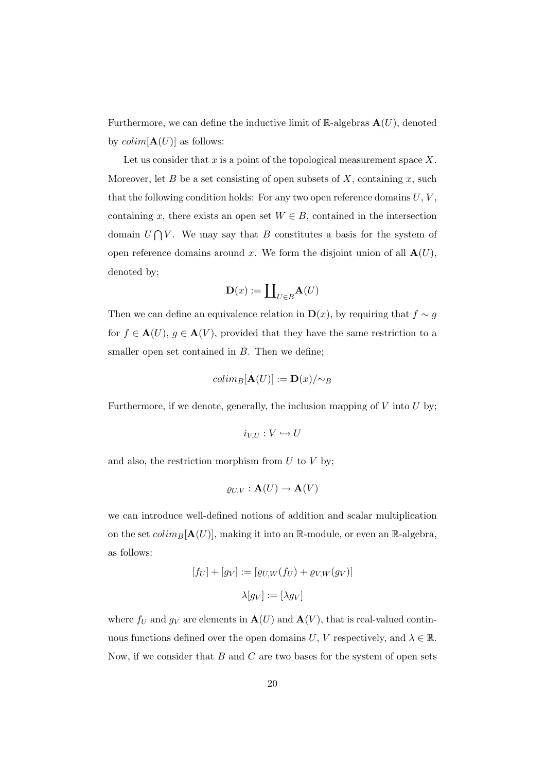Furthermore, we can define the inductive limit of  $\mathbb{R}$ -algebras  $\mathbf{A}(U)$ , denoted by  $colim[\mathbf{A}(U)]$  as follows:

Let us consider that  $x$  is a point of the topological measurement space  $X$ . Moreover, let B be a set consisting of open subsets of X, containing x, such that the following condition holds: For any two open reference domains  $U, V$ , containing x, there exists an open set  $W \in B$ , contained in the intersection domain  $U \cap V$ . We may say that B constitutes a basis for the system of open reference domains around x. We form the disjoint union of all  $\mathbf{A}(U)$ , denoted by;

$$
\mathbf{D}(x):=\coprod\nolimits_{U\in B}\mathbf{A}(U)
$$

Then we can define an equivalence relation in  $\mathbf{D}(x)$ , by requiring that  $f \sim g$ for  $f \in \mathbf{A}(U)$ ,  $g \in \mathbf{A}(V)$ , provided that they have the same restriction to a smaller open set contained in  $B$ . Then we define;

$$
colim_B[\mathbf{A}(U)]:= \mathbf{D}(x)/\!\!\sim_B
$$

Furthermore, if we denote, generally, the inclusion mapping of  $V$  into  $U$  by;

$$
i_{V,U}: V \hookrightarrow U
$$

and also, the restriction morphism from  $U$  to  $V$  by;

$$
\varrho_{U,V}: \mathbf{A}(U) \to \mathbf{A}(V)
$$

we can introduce well-defined notions of addition and scalar multiplication on the set  $colim_B[\mathbf{A}(U)]$ , making it into an R-module, or even an R-algebra, as follows:

$$
[fv] + [gv] := [\varrho_{U,W}(fv) + \varrho_{V,W}(gv)]
$$

$$
\lambda[g_V] := [\lambda g_V]
$$

where  $f_U$  and  $g_V$  are elements in  $\mathbf{A}(U)$  and  $\mathbf{A}(V)$ , that is real-valued continuous functions defined over the open domains U, V respectively, and  $\lambda \in \mathbb{R}$ . Now, if we consider that  $B$  and  $C$  are two bases for the system of open sets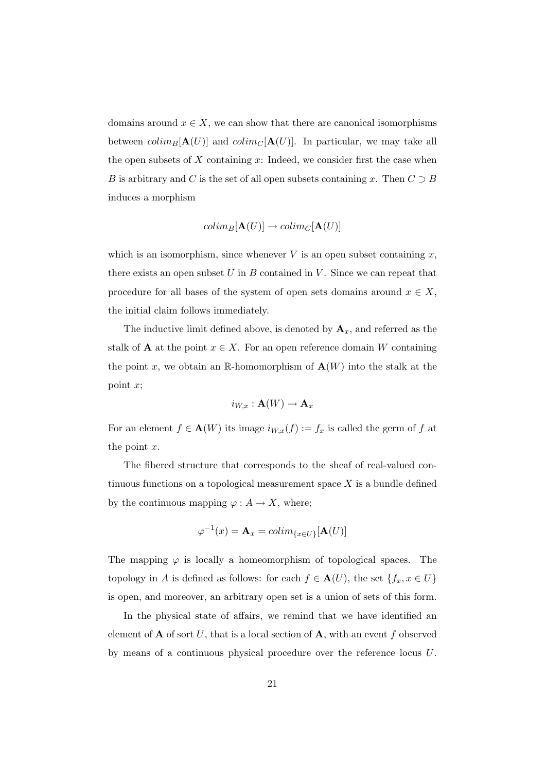domains around  $x \in X$ , we can show that there are canonical isomorphisms between  $colim_B[\mathbf{A}(U)]$  and  $colim_C[\mathbf{A}(U)]$ . In particular, we may take all the open subsets of  $X$  containing  $x$ : Indeed, we consider first the case when B is arbitrary and C is the set of all open subsets containing x. Then  $C \supset B$ induces a morphism

$$
colim_B[\mathbf{A}(U)] \to colim_C[\mathbf{A}(U)]
$$

which is an isomorphism, since whenever  $V$  is an open subset containing  $x$ , there exists an open subset U in B contained in V. Since we can repeat that procedure for all bases of the system of open sets domains around  $x \in X$ , the initial claim follows immediately.

The inductive limit defined above, is denoted by  $\mathbf{A}_x$ , and referred as the stalk of **A** at the point  $x \in X$ . For an open reference domain W containing the point x, we obtain an R-homomorphism of  $\mathbf{A}(W)$  into the stalk at the point x;

$$
i_{W\!,x}:{\bf A}(W)\rightarrow {\bf A}_x
$$

For an element  $f \in \mathbf{A}(W)$  its image  $i_{W,x}(f) := f_x$  is called the germ of f at the point x.

The fibered structure that corresponds to the sheaf of real-valued continuous functions on a topological measurement space  $X$  is a bundle defined by the continuous mapping  $\varphi: A \to X$ , where;

$$
\varphi^{-1}(x) = \mathbf{A}_x = \operatorname{colim}_{\{x \in U\}}[\mathbf{A}(U)]
$$

The mapping  $\varphi$  is locally a homeomorphism of topological spaces. The topology in A is defined as follows: for each  $f \in \mathbf{A}(U)$ , the set  $\{f_x, x \in U\}$ is open, and moreover, an arbitrary open set is a union of sets of this form.

In the physical state of affairs, we remind that we have identified an element of  $A$  of sort U, that is a local section of  $A$ , with an event f observed by means of a continuous physical procedure over the reference locus U.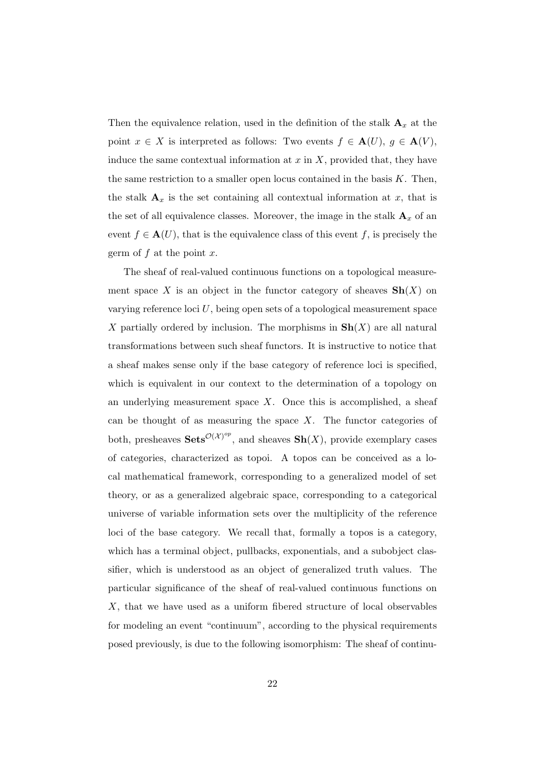Then the equivalence relation, used in the definition of the stalk  $\mathbf{A}_x$  at the point  $x \in X$  is interpreted as follows: Two events  $f \in \mathbf{A}(U)$ ,  $g \in \mathbf{A}(V)$ , induce the same contextual information at  $x$  in  $X$ , provided that, they have the same restriction to a smaller open locus contained in the basis  $K$ . Then, the stalk  $A_x$  is the set containing all contextual information at x, that is the set of all equivalence classes. Moreover, the image in the stalk  $A_x$  of an event  $f \in \mathbf{A}(U)$ , that is the equivalence class of this event f, is precisely the germ of  $f$  at the point  $x$ .

The sheaf of real-valued continuous functions on a topological measurement space X is an object in the functor category of sheaves  $\mathbf{Sh}(X)$  on varying reference loci  $U$ , being open sets of a topological measurement space X partially ordered by inclusion. The morphisms in  $\mathbf{Sh}(X)$  are all natural transformations between such sheaf functors. It is instructive to notice that a sheaf makes sense only if the base category of reference loci is specified, which is equivalent in our context to the determination of a topology on an underlying measurement space  $X$ . Once this is accomplished, a sheaf can be thought of as measuring the space  $X$ . The functor categories of both, presheaves  $\mathbf{Sets}^{\mathcal{O}(\mathcal{X})^{op}}$ , and sheaves  $\mathbf{Sh}(X)$ , provide exemplary cases of categories, characterized as topoi. A topos can be conceived as a local mathematical framework, corresponding to a generalized model of set theory, or as a generalized algebraic space, corresponding to a categorical universe of variable information sets over the multiplicity of the reference loci of the base category. We recall that, formally a topos is a category, which has a terminal object, pullbacks, exponentials, and a subobject classifier, which is understood as an object of generalized truth values. The particular significance of the sheaf of real-valued continuous functions on X, that we have used as a uniform fibered structure of local observables for modeling an event "continuum", according to the physical requirements posed previously, is due to the following isomorphism: The sheaf of continu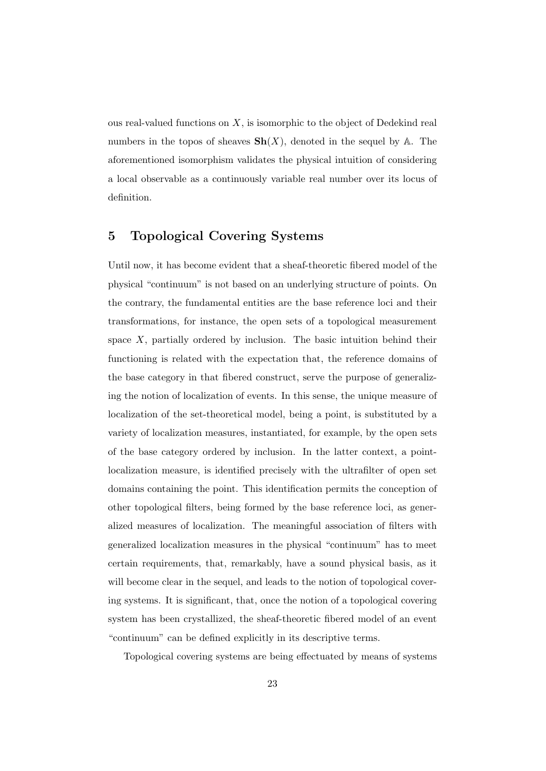ous real-valued functions on  $X$ , is isomorphic to the object of Dedekind real numbers in the topos of sheaves  $\mathbf{Sh}(X)$ , denoted in the sequel by A. The aforementioned isomorphism validates the physical intuition of considering a local observable as a continuously variable real number over its locus of definition.

# 5 Topological Covering Systems

Until now, it has become evident that a sheaf-theoretic fibered model of the physical "continuum" is not based on an underlying structure of points. On the contrary, the fundamental entities are the base reference loci and their transformations, for instance, the open sets of a topological measurement space  $X$ , partially ordered by inclusion. The basic intuition behind their functioning is related with the expectation that, the reference domains of the base category in that fibered construct, serve the purpose of generalizing the notion of localization of events. In this sense, the unique measure of localization of the set-theoretical model, being a point, is substituted by a variety of localization measures, instantiated, for example, by the open sets of the base category ordered by inclusion. In the latter context, a pointlocalization measure, is identified precisely with the ultrafilter of open set domains containing the point. This identification permits the conception of other topological filters, being formed by the base reference loci, as generalized measures of localization. The meaningful association of filters with generalized localization measures in the physical "continuum" has to meet certain requirements, that, remarkably, have a sound physical basis, as it will become clear in the sequel, and leads to the notion of topological covering systems. It is significant, that, once the notion of a topological covering system has been crystallized, the sheaf-theoretic fibered model of an event "continuum" can be defined explicitly in its descriptive terms.

Topological covering systems are being effectuated by means of systems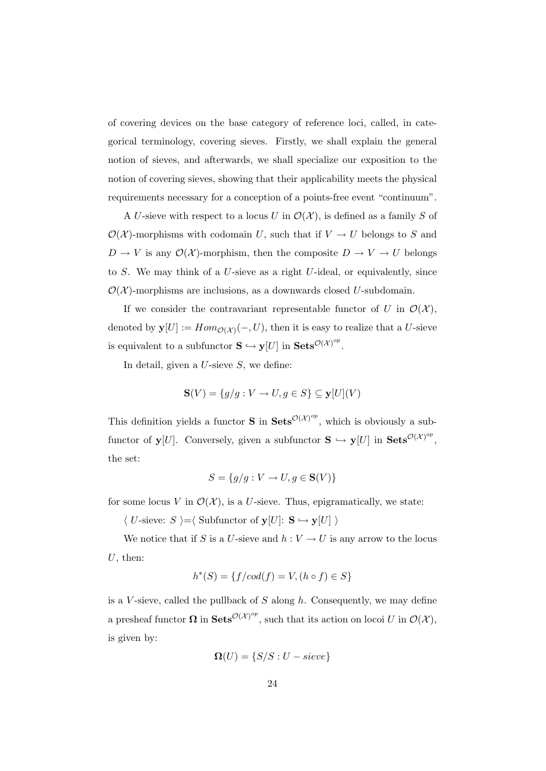of covering devices on the base category of reference loci, called, in categorical terminology, covering sieves. Firstly, we shall explain the general notion of sieves, and afterwards, we shall specialize our exposition to the notion of covering sieves, showing that their applicability meets the physical requirements necessary for a conception of a points-free event "continuum".

A U-sieve with respect to a locus U in  $\mathcal{O}(\mathcal{X})$ , is defined as a family S of  $\mathcal{O}(\mathcal{X})$ -morphisms with codomain U, such that if  $V \to U$  belongs to S and  $D \to V$  is any  $\mathcal{O}(\mathcal{X})$ -morphism, then the composite  $D \to V \to U$  belongs to S. We may think of a U-sieve as a right U-ideal, or equivalently, since  $\mathcal{O}(\mathcal{X})$ -morphisms are inclusions, as a downwards closed U-subdomain.

If we consider the contravariant representable functor of U in  $\mathcal{O}(\mathcal{X}),$ denoted by  $y[U] := Hom_{\mathcal{O}(\mathcal{X})}(-, U)$ , then it is easy to realize that a U-sieve is equivalent to a subfunctor  $\mathbf{S} \hookrightarrow \mathbf{y}[U]$  in  $\mathbf{Sets}^{\mathcal{O}(\mathcal{X})^{op}}$ .

In detail, given a  $U$ -sieve  $S$ , we define:

$$
\mathbf{S}(V) = \{g/g : V \to U, g \in S\} \subseteq \mathbf{y}[U](V)
$$

This definition yields a functor **S** in  $\textbf{Sets}^{\mathcal{O}(\mathcal{X})^{op}}$ , which is obviously a subfunctor of  $y[U]$ . Conversely, given a subfunctor  $S \hookrightarrow y[U]$  in  $Sets^{\mathcal{O}(\mathcal{X})^{op}}$ , the set:

$$
S = \{g/g : V \to U, g \in \mathbf{S}(V)\}
$$

for some locus V in  $\mathcal{O}(\mathcal{X})$ , is a U-sieve. Thus, epigramatically, we state:

 $\langle$   $U\text{-sieve: }\;S$   $\rangle{=}\langle$  Subfunctor of  $\mathbf{y}[U]\colon\, \mathbf{S}\hookrightarrow \mathbf{y}[U]$   $\rangle$ 

We notice that if S is a U-sieve and  $h: V \to U$  is any arrow to the locus  $U$ , then:

$$
h^*(S) = \{ f/cod(f) = V, (h \circ f) \in S \}
$$

is a V-sieve, called the pullback of  $S$  along  $h$ . Consequently, we may define a presheaf functor  $\Omega$  in  $\textbf{Sets}^{\mathcal{O}(\mathcal{X})^{op}}$ , such that its action on locoi U in  $\mathcal{O}(\mathcal{X})$ , is given by:

$$
\mathbf{\Omega}(U) = \{S/S : U - sieve\}
$$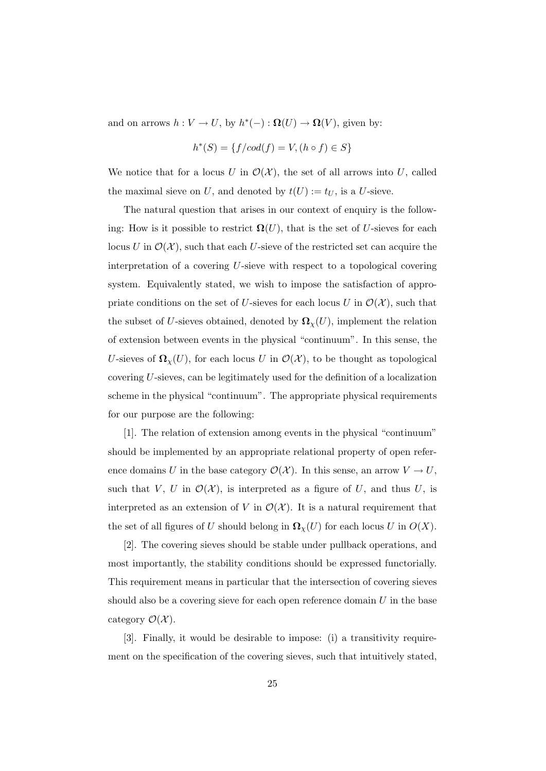and on arrows  $h: V \to U$ , by  $h^*(-): \mathbf{\Omega}(U) \to \mathbf{\Omega}(V)$ , given by:

$$
h^*(S) = \{f/cod(f) = V, (h \circ f) \in S\}
$$

We notice that for a locus U in  $\mathcal{O}(\mathcal{X})$ , the set of all arrows into U, called the maximal sieve on U, and denoted by  $t(U) := t_U$ , is a U-sieve.

The natural question that arises in our context of enquiry is the following: How is it possible to restrict  $\Omega(U)$ , that is the set of U-sieves for each locus U in  $\mathcal{O}(\mathcal{X})$ , such that each U-sieve of the restricted set can acquire the interpretation of a covering U-sieve with respect to a topological covering system. Equivalently stated, we wish to impose the satisfaction of appropriate conditions on the set of U-sieves for each locus U in  $\mathcal{O}(\mathcal{X})$ , such that the subset of U-sieves obtained, denoted by  $\Omega_{\chi}(U)$ , implement the relation of extension between events in the physical "continuum". In this sense, the U-sieves of  $\Omega_{\gamma}(U)$ , for each locus U in  $\mathcal{O}(\mathcal{X})$ , to be thought as topological covering U-sieves, can be legitimately used for the definition of a localization scheme in the physical "continuum". The appropriate physical requirements for our purpose are the following:

[1]. The relation of extension among events in the physical "continuum" should be implemented by an appropriate relational property of open reference domains U in the base category  $\mathcal{O}(\mathcal{X})$ . In this sense, an arrow  $V \to U$ , such that V, U in  $\mathcal{O}(\mathcal{X})$ , is interpreted as a figure of U, and thus U, is interpreted as an extension of V in  $\mathcal{O}(\mathcal{X})$ . It is a natural requirement that the set of all figures of U should belong in  $\Omega_{\chi}(U)$  for each locus U in  $O(X)$ .

[2]. The covering sieves should be stable under pullback operations, and most importantly, the stability conditions should be expressed functorially. This requirement means in particular that the intersection of covering sieves should also be a covering sieve for each open reference domain  $U$  in the base category  $\mathcal{O}(\mathcal{X})$ .

[3]. Finally, it would be desirable to impose: (i) a transitivity requirement on the specification of the covering sieves, such that intuitively stated,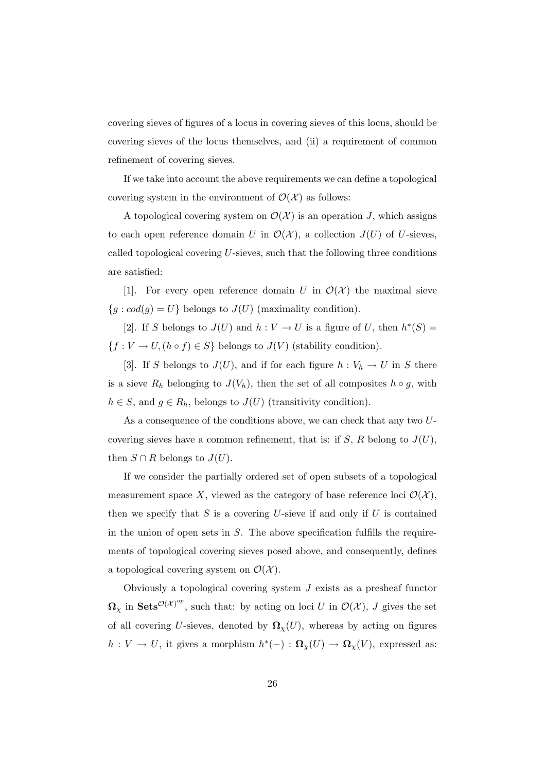covering sieves of figures of a locus in covering sieves of this locus, should be covering sieves of the locus themselves, and (ii) a requirement of common refinement of covering sieves.

If we take into account the above requirements we can define a topological covering system in the environment of  $\mathcal{O}(\mathcal{X})$  as follows:

A topological covering system on  $\mathcal{O}(\mathcal{X})$  is an operation J, which assigns to each open reference domain U in  $\mathcal{O}(\mathcal{X})$ , a collection  $J(U)$  of U-sieves, called topological covering U-sieves, such that the following three conditions are satisfied:

[1]. For every open reference domain U in  $\mathcal{O}(\mathcal{X})$  the maximal sieve  ${g : cod(g) = U}$  belongs to  $J(U)$  (maximality condition).

[2]. If S belongs to  $J(U)$  and  $h: V \to U$  is a figure of U, then  $h^*(S) =$  ${f : V \to U, (h \circ f) \in S}$  belongs to  $J(V)$  (stability condition).

[3]. If S belongs to  $J(U)$ , and if for each figure  $h: V_h \to U$  in S there is a sieve  $R_h$  belonging to  $J(V_h)$ , then the set of all composites  $h \circ g$ , with  $h \in S$ , and  $g \in R_h$ , belongs to  $J(U)$  (transitivity condition).

As a consequence of the conditions above, we can check that any two Ucovering sieves have a common refinement, that is: if  $S$ , R belong to  $J(U)$ , then  $S \cap R$  belongs to  $J(U)$ .

If we consider the partially ordered set of open subsets of a topological measurement space X, viewed as the category of base reference loci  $\mathcal{O}(\mathcal{X})$ , then we specify that  $S$  is a covering U-sieve if and only if U is contained in the union of open sets in  $S$ . The above specification fulfills the requirements of topological covering sieves posed above, and consequently, defines a topological covering system on  $\mathcal{O}(\mathcal{X})$ .

Obviously a topological covering system  $J$  exists as a presheaf functor  $\Omega_{\chi}$  in Sets<sup> $\mathcal{O}(\mathcal{X})^{op}$ </sup>, such that: by acting on loci U in  $\mathcal{O}(\mathcal{X})$ , J gives the set of all covering U-sieves, denoted by  $\Omega_{\chi}(U)$ , whereas by acting on figures  $h: V \to U$ , it gives a morphism  $h^*(-): \mathbf{\Omega}_{\chi}(U) \to \mathbf{\Omega}_{\chi}(V)$ , expressed as: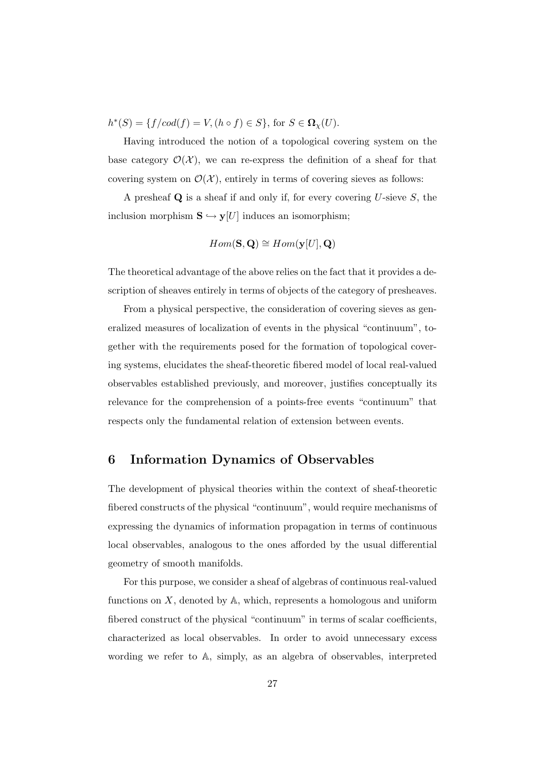$h^*(S) = \{ f/cod(f) = V, (h \circ f) \in S \}, \text{ for } S \in \Omega_\chi(U).$ 

Having introduced the notion of a topological covering system on the base category  $\mathcal{O}(\mathcal{X})$ , we can re-express the definition of a sheaf for that covering system on  $\mathcal{O}(\mathcal{X})$ , entirely in terms of covering sieves as follows:

A presheaf  $Q$  is a sheaf if and only if, for every covering U-sieve  $S$ , the inclusion morphism  $S \hookrightarrow y[U]$  induces an isomorphism;

$$
Hom(\mathbf{S}, \mathbf{Q}) \cong Hom(\mathbf{y}[U], \mathbf{Q})
$$

The theoretical advantage of the above relies on the fact that it provides a description of sheaves entirely in terms of objects of the category of presheaves.

From a physical perspective, the consideration of covering sieves as generalized measures of localization of events in the physical "continuum", together with the requirements posed for the formation of topological covering systems, elucidates the sheaf-theoretic fibered model of local real-valued observables established previously, and moreover, justifies conceptually its relevance for the comprehension of a points-free events "continuum" that respects only the fundamental relation of extension between events.

### 6 Information Dynamics of Observables

The development of physical theories within the context of sheaf-theoretic fibered constructs of the physical "continuum", would require mechanisms of expressing the dynamics of information propagation in terms of continuous local observables, analogous to the ones afforded by the usual differential geometry of smooth manifolds.

For this purpose, we consider a sheaf of algebras of continuous real-valued functions on  $X$ , denoted by  $A$ , which, represents a homologous and uniform fibered construct of the physical "continuum" in terms of scalar coefficients, characterized as local observables. In order to avoid unnecessary excess wording we refer to A, simply, as an algebra of observables, interpreted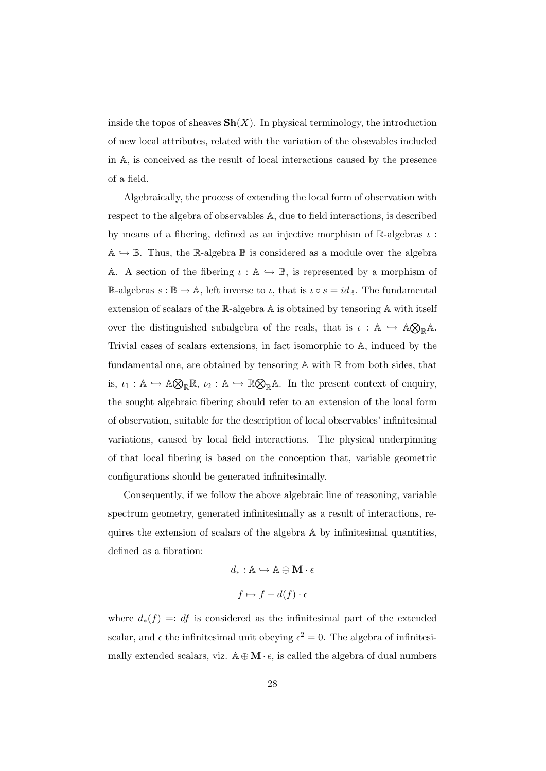inside the topos of sheaves  $\mathbf{Sh}(X)$ . In physical terminology, the introduction of new local attributes, related with the variation of the obsevables included in A, is conceived as the result of local interactions caused by the presence of a field.

Algebraically, the process of extending the local form of observation with respect to the algebra of observables A, due to field interactions, is described by means of a fibering, defined as an injective morphism of  $\mathbb{R}$ -algebras  $\iota$ :  $A \hookrightarrow \mathbb{B}$ . Thus, the R-algebra B is considered as a module over the algebra A. A section of the fibering  $\iota : \mathbb{A} \hookrightarrow \mathbb{B}$ , is represented by a morphism of R-algebras  $s : \mathbb{B} \to \mathbb{A}$ , left inverse to  $\iota$ , that is  $\iota \circ s = id_{\mathbb{B}}$ . The fundamental extension of scalars of the R-algebra A is obtained by tensoring A with itself over the distinguished subalgebra of the reals, that is  $\iota : \mathbb{A} \hookrightarrow \mathbb{A} \otimes_{\mathbb{R}} \mathbb{A}$ . Trivial cases of scalars extensions, in fact isomorphic to A, induced by the fundamental one, are obtained by tensoring A with R from both sides, that is,  $\iota_1 : \mathbb{A} \hookrightarrow \mathbb{A} \bigotimes_{\mathbb{R}} \mathbb{R}, \iota_2 : \mathbb{A} \hookrightarrow \mathbb{R} \bigotimes_{\mathbb{R}} \mathbb{A}$ . In the present context of enquiry, the sought algebraic fibering should refer to an extension of the local form of observation, suitable for the description of local observables' infinitesimal variations, caused by local field interactions. The physical underpinning of that local fibering is based on the conception that, variable geometric configurations should be generated infinitesimally.

Consequently, if we follow the above algebraic line of reasoning, variable spectrum geometry, generated infinitesimally as a result of interactions, requires the extension of scalars of the algebra A by infinitesimal quantities, defined as a fibration:

$$
d_*: \mathbb{A} \hookrightarrow \mathbb{A} \oplus \mathbf{M} \cdot \epsilon
$$

$$
f \mapsto f + d(f) \cdot \epsilon
$$

where  $d_*(f) =: df$  is considered as the infinitesimal part of the extended scalar, and  $\epsilon$  the infinitesimal unit obeying  $\epsilon^2 = 0$ . The algebra of infinitesimally extended scalars, viz.  $\mathbb{A} \oplus \mathbf{M} \cdot \epsilon$ , is called the algebra of dual numbers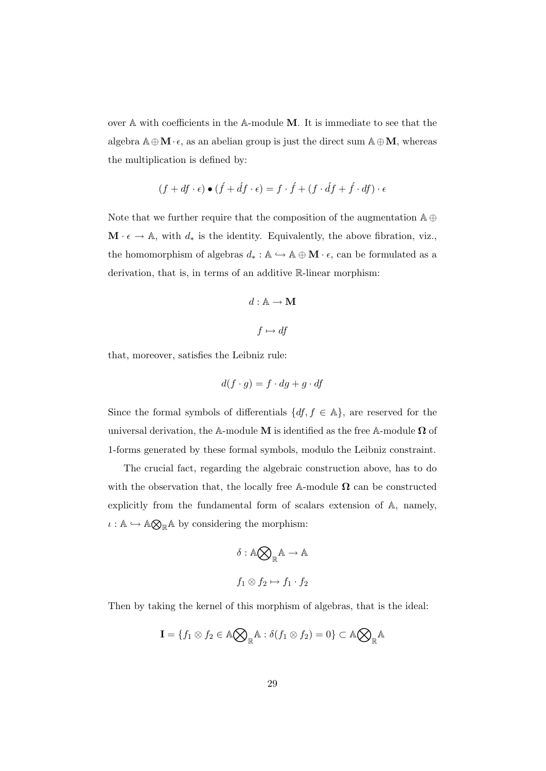over  $A$  with coefficients in the  $A$ -module M. It is immediate to see that the algebra  $\mathbb{A} \oplus \mathbf{M} \cdot \epsilon$ , as an abelian group is just the direct sum  $\mathbb{A} \oplus \mathbf{M}$ , whereas the multiplication is defined by:

$$
(f + df \cdot \epsilon) \bullet (f + \acute{d}f \cdot \epsilon) = f \cdot \acute{f} + (f \cdot \acute{d}f + \acute{f} \cdot \acute{d}f) \cdot \epsilon
$$

Note that we further require that the composition of the augmentation  $\mathbb{A} \oplus$  $\mathbf{M} \cdot \epsilon \to \mathbb{A}$ , with  $d_*$  is the identity. Equivalently, the above fibration, viz., the homomorphism of algebras  $d_* : \mathbb{A} \hookrightarrow \mathbb{A} \oplus \mathbf{M} \cdot \epsilon$ , can be formulated as a derivation, that is, in terms of an additive R-linear morphism:

$$
d: \mathbb{A} \to \mathbf{M}
$$

$$
f \mapsto df
$$

that, moreover, satisfies the Leibniz rule:

$$
d(f \cdot g) = f \cdot dg + g \cdot df
$$

Since the formal symbols of differentials  $\{df, f \in \mathbb{A}\}$ , are reserved for the universal derivation, the A-module M is identified as the free A-module  $\Omega$  of 1-forms generated by these formal symbols, modulo the Leibniz constraint.

The crucial fact, regarding the algebraic construction above, has to do with the observation that, the locally free A-module  $\Omega$  can be constructed explicitly from the fundamental form of scalars extension of A, namely,  $\iota : \mathbb{A} \hookrightarrow \mathbb{A} \bigotimes_{\mathbb{R}} \mathbb{A}$  by considering the morphism:

$$
\delta: \mathbb{A} \bigotimes_{\mathbb{R}} \mathbb{A} \to \mathbb{A}
$$

$$
f_1 \otimes f_2 \mapsto f_1 \cdot f_2
$$

Then by taking the kernel of this morphism of algebras, that is the ideal:

$$
\mathbf{I} = \{ f_1 \otimes f_2 \in \mathbb{A} \bigotimes_{\mathbb{R}} \mathbb{A} : \delta(f_1 \otimes f_2) = 0 \} \subset \mathbb{A} \bigotimes_{\mathbb{R}} \mathbb{A}
$$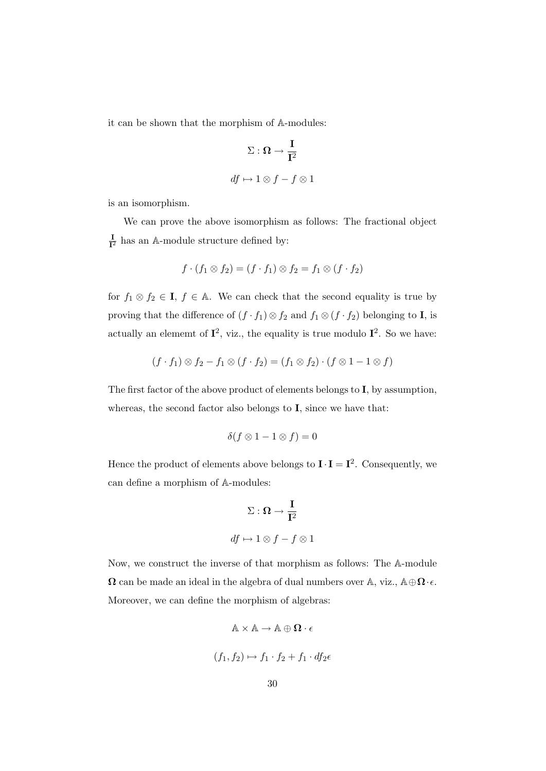it can be shown that the morphism of A-modules:

$$
\Sigma: \Omega \to \frac{\mathbf{I}}{\mathbf{I}^2}
$$

$$
df \mapsto 1 \otimes f - f \otimes 1
$$

is an isomorphism.

We can prove the above isomorphism as follows: The fractional object I  $\frac{I}{I^2}$  has an A-module structure defined by:

$$
f \cdot (f_1 \otimes f_2) = (f \cdot f_1) \otimes f_2 = f_1 \otimes (f \cdot f_2)
$$

for  $f_1 \otimes f_2 \in I$ ,  $f \in A$ . We can check that the second equality is true by proving that the difference of  $(f \cdot f_1) \otimes f_2$  and  $f_1 \otimes (f \cdot f_2)$  belonging to **I**, is actually an element of  $I^2$ , viz., the equality is true modulo  $I^2$ . So we have:

$$
(f \cdot f_1) \otimes f_2 - f_1 \otimes (f \cdot f_2) = (f_1 \otimes f_2) \cdot (f \otimes 1 - 1 \otimes f)
$$

The first factor of the above product of elements belongs to I, by assumption, whereas, the second factor also belongs to **I**, since we have that:

$$
\delta(f \otimes 1 - 1 \otimes f) = 0
$$

Hence the product of elements above belongs to  $I \cdot I = I^2$ . Consequently, we can define a morphism of A-modules:

$$
\Sigma: \mathbf{\Omega} \to \frac{\mathbf{I}}{\mathbf{I}^2}
$$
  

$$
df \mapsto 1 \otimes f - f \otimes 1
$$

Now, we construct the inverse of that morphism as follows: The A-module  $\Omega$  can be made an ideal in the algebra of dual numbers over A, viz.,  $\mathbb{A} \oplus \Omega \cdot \epsilon$ . Moreover, we can define the morphism of algebras:

$$
\mathbb{A} \times \mathbb{A} \to \mathbb{A} \oplus \Omega \cdot \epsilon
$$

$$
(f_1, f_2) \mapsto f_1 \cdot f_2 + f_1 \cdot df_2 \epsilon
$$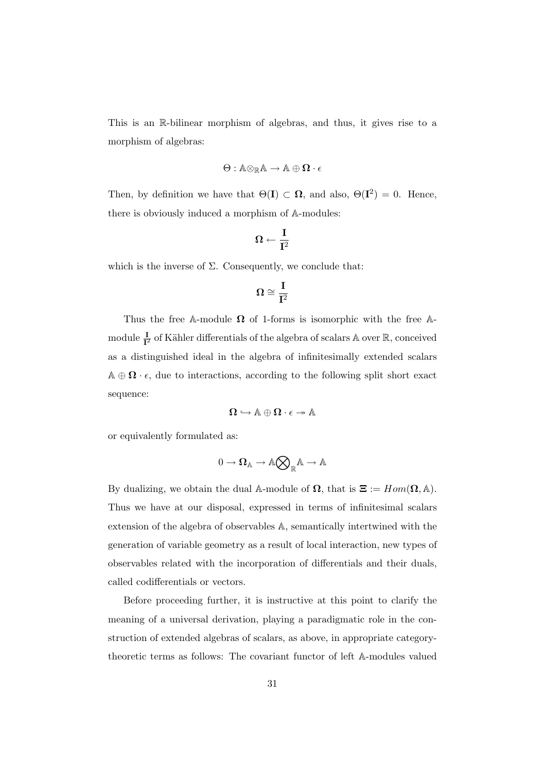This is an R-bilinear morphism of algebras, and thus, it gives rise to a morphism of algebras:

$$
\Theta: \mathbb{A} {\otimes_{\mathbb{R}} \mathbb{A}} \to \mathbb{A} \oplus \Omega \cdot \epsilon
$$

Then, by definition we have that  $\Theta(I) \subset \Omega$ , and also,  $\Theta(I^2) = 0$ . Hence, there is obviously induced a morphism of A-modules:

$$
\Omega \gets \frac{I}{I^2}
$$

which is the inverse of  $\Sigma$ . Consequently, we conclude that:

$$
\Omega\cong\frac{I}{I^2}
$$

Thus the free A-module  $\Omega$  of 1-forms is isomorphic with the free Amodule  $\frac{I}{I^2}$  of Kähler differentials of the algebra of scalars  $\mathbb A$  over  $\mathbb R$ , conceived as a distinguished ideal in the algebra of infinitesimally extended scalars  $\mathbb{A} \oplus \mathbb{Q} \cdot \epsilon$ , due to interactions, according to the following split short exact sequence:

$$
\Omega\hookrightarrow \mathbb{A}\oplus\Omega\cdot\epsilon\twoheadrightarrow\mathbb{A}
$$

or equivalently formulated as:

$$
0\to\pmb{\Omega}_\mathbb{A}\to\mathbb{A}\bigotimes_\mathbb{R}\mathbb{A}\to\mathbb{A}
$$

By dualizing, we obtain the dual A-module of  $\Omega$ , that is  $\Xi := Hom(\Omega, \mathbb{A}).$ Thus we have at our disposal, expressed in terms of infinitesimal scalars extension of the algebra of observables A, semantically intertwined with the generation of variable geometry as a result of local interaction, new types of observables related with the incorporation of differentials and their duals, called codifferentials or vectors.

Before proceeding further, it is instructive at this point to clarify the meaning of a universal derivation, playing a paradigmatic role in the construction of extended algebras of scalars, as above, in appropriate categorytheoretic terms as follows: The covariant functor of left A-modules valued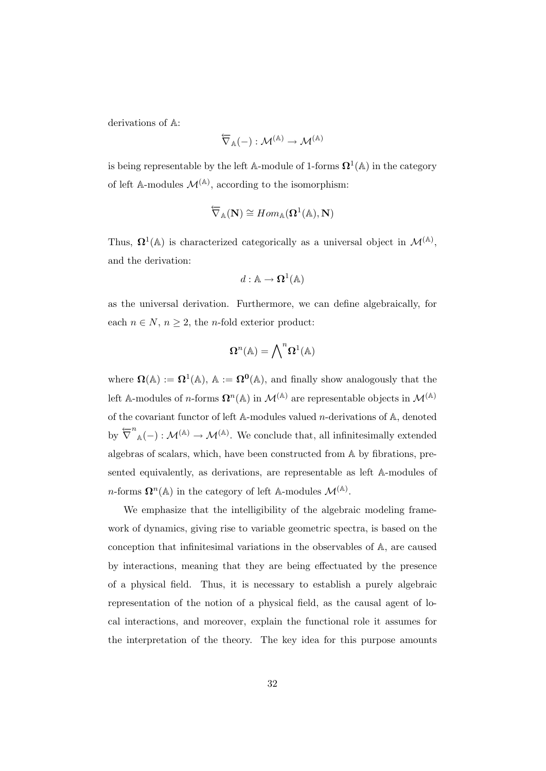derivations of A:

$$
\overleftarrow{\nabla}_{\mathbb{A}}(-): \mathcal{M}^{(\mathbb{A})} \to \mathcal{M}^{(\mathbb{A})}
$$

is being representable by the left A-module of 1-forms  $\Omega^1(\mathbb{A})$  in the category of left  $\mathbb{A}\text{-modules } \mathcal{M}^{(\mathbb{A})}$ , according to the isomorphism:

$$
\overleftarrow{\nabla}_{\mathbb{A}}(\mathbf{N}) \cong Hom_{\mathbb{A}}(\Omega^1(\mathbb{A}), \mathbf{N})
$$

Thus,  $\Omega^1(\mathbb{A})$  is characterized categorically as a universal object in  $\mathcal{M}^{(\mathbb{A})}$ , and the derivation:

$$
d: \mathbb{A} \to \mathbf{\Omega}^1(\mathbb{A})
$$

as the universal derivation. Furthermore, we can define algebraically, for each  $n \in N$ ,  $n \geq 2$ , the *n*-fold exterior product:

$$
\pmb{\Omega}^n(\mathbb{A}) = \bigwedge\nolimits^n \pmb{\Omega}^1(\mathbb{A})
$$

where  $\Omega(\mathbb{A}) := \Omega^1(\mathbb{A}), \mathbb{A} := \Omega^0(\mathbb{A}),$  and finally show analogously that the left A-modules of *n*-forms  $\Omega^n(A)$  in  $\mathcal{M}^{(A)}$  are representable objects in  $\mathcal{M}^{(A)}$ of the covariant functor of left  $A$ -modules valued *n*-derivations of  $A$ , denoted by  $\overleftarrow{\nabla}^n_{\mathbb{A}}(-) : \mathcal{M}^{(\mathbb{A})} \to \mathcal{M}^{(\mathbb{A})}$ . We conclude that, all infinitesimally extended algebras of scalars, which, have been constructed from A by fibrations, presented equivalently, as derivations, are representable as left A-modules of *n*-forms  $\mathbf{\Omega}^n(\mathbb{A})$  in the category of left A-modules  $\mathcal{M}^{(\mathbb{A})}$ .

We emphasize that the intelligibility of the algebraic modeling framework of dynamics, giving rise to variable geometric spectra, is based on the conception that infinitesimal variations in the observables of A, are caused by interactions, meaning that they are being effectuated by the presence of a physical field. Thus, it is necessary to establish a purely algebraic representation of the notion of a physical field, as the causal agent of local interactions, and moreover, explain the functional role it assumes for the interpretation of the theory. The key idea for this purpose amounts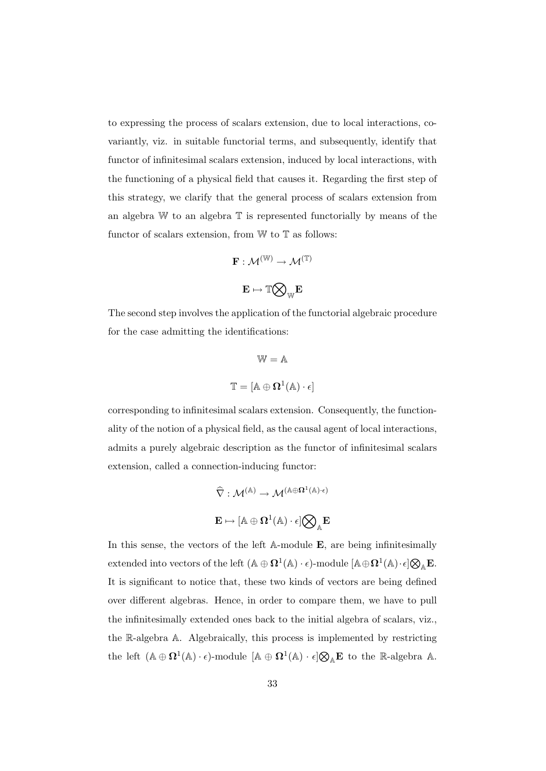to expressing the process of scalars extension, due to local interactions, covariantly, viz. in suitable functorial terms, and subsequently, identify that functor of infinitesimal scalars extension, induced by local interactions, with the functioning of a physical field that causes it. Regarding the first step of this strategy, we clarify that the general process of scalars extension from an algebra W to an algebra T is represented functorially by means of the functor of scalars extension, from  $W$  to  $T$  as follows:

$$
\mathbf{F}:\mathcal{M}^{(\mathbb{W})}\to \mathcal{M}^{(\mathbb{T})}
$$

$$
\mathbf{E}\mapsto \mathbb{T}\bigotimes_{\mathbb{W}}\!\mathbf{E}
$$

The second step involves the application of the functorial algebraic procedure for the case admitting the identifications:

$$
\mathbb{W} = \mathbb{A}
$$

$$
\mathbb{T} = [\mathbb{A} \oplus \mathbf{\Omega}^1(\mathbb{A}) \cdot \epsilon]
$$

corresponding to infinitesimal scalars extension. Consequently, the functionality of the notion of a physical field, as the causal agent of local interactions, admits a purely algebraic description as the functor of infinitesimal scalars extension, called a connection-inducing functor:

$$
\widehat{\nabla} : \mathcal{M}^{(\mathbb{A})} \to \mathcal{M}^{(\mathbb{A} \oplus \Omega^1(\mathbb{A}) \cdot \epsilon)}
$$
  

$$
\mathbf{E} \mapsto [\mathbb{A} \oplus \Omega^1(\mathbb{A}) \cdot \epsilon] \bigotimes_{\mathbb{A}} \mathbf{E}
$$

In this sense, the vectors of the left A-module E, are being infinitesimally extended into vectors of the left  $(A \oplus \Omega^1(A) \cdot \epsilon)$ -module  $[A \oplus \Omega^1(A) \cdot \epsilon] \bigotimes_{\mathbb{A}} \mathbf{E}$ . It is significant to notice that, these two kinds of vectors are being defined over different algebras. Hence, in order to compare them, we have to pull the infinitesimally extended ones back to the initial algebra of scalars, viz., the R-algebra A. Algebraically, this process is implemented by restricting the left  $(A \oplus \Omega^1(A) \cdot \epsilon)$ -module  $[A \oplus \Omega^1(A) \cdot \epsilon] \bigotimes_A \mathbf{E}$  to the R-algebra A.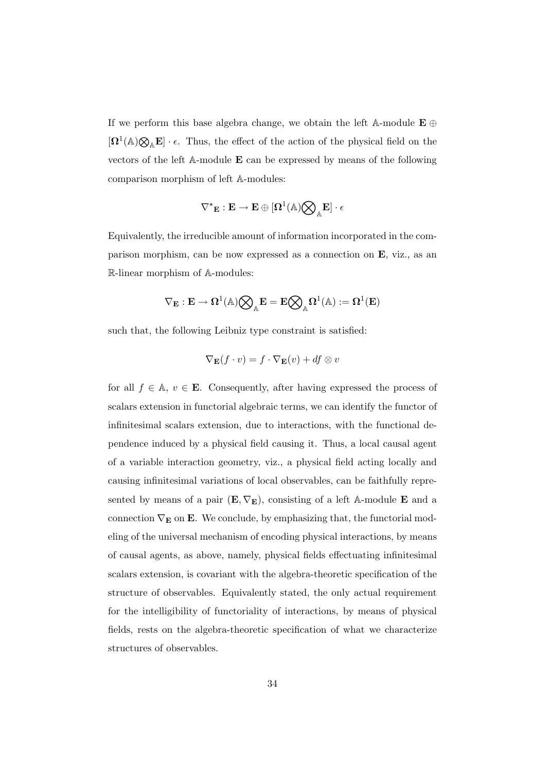If we perform this base algebra change, we obtain the left  $\mathbb{A}\text{-module } \mathbf{E} \oplus$  $[\Omega^1(\mathbb{A})\bigotimes_{\mathbb{A}} \mathbf{E}] \cdot \epsilon$ . Thus, the effect of the action of the physical field on the vectors of the left A-module E can be expressed by means of the following comparison morphism of left A-modules:

$$
\nabla^\star {}_{\bf E} : {\bf E} \rightarrow {\bf E} \oplus [\Omega^1(\mathbb{A}) \bigotimes\nolimits_\mathbb{A} {\bf E}] \cdot \epsilon
$$

Equivalently, the irreducible amount of information incorporated in the comparison morphism, can be now expressed as a connection on E, viz., as an R-linear morphism of A-modules:

$$
\nabla_{\mathbf{E}}:\mathbf{E}\rightarrow \Omega^1(\mathbb{A})\bigotimes\nolimits_{\mathbb{A}}\!\mathbf{E}=\mathbf{E}\bigotimes\nolimits_{\mathbb{A}}\!\Omega^1(\mathbb{A}):=\Omega^1(\mathbf{E})
$$

such that, the following Leibniz type constraint is satisfied:

$$
\nabla_{\mathbf{E}}(f \cdot v) = f \cdot \nabla_{\mathbf{E}}(v) + df \otimes v
$$

for all  $f \in \mathbb{A}$ ,  $v \in \mathbf{E}$ . Consequently, after having expressed the process of scalars extension in functorial algebraic terms, we can identify the functor of infinitesimal scalars extension, due to interactions, with the functional dependence induced by a physical field causing it. Thus, a local causal agent of a variable interaction geometry, viz., a physical field acting locally and causing infinitesimal variations of local observables, can be faithfully represented by means of a pair  $(\mathbf{E}, \nabla_{\mathbf{E}})$ , consisting of a left A-module  $\mathbf E$  and a connection  $\nabla$ **E** on **E**. We conclude, by emphasizing that, the functorial modeling of the universal mechanism of encoding physical interactions, by means of causal agents, as above, namely, physical fields effectuating infinitesimal scalars extension, is covariant with the algebra-theoretic specification of the structure of observables. Equivalently stated, the only actual requirement for the intelligibility of functoriality of interactions, by means of physical fields, rests on the algebra-theoretic specification of what we characterize structures of observables.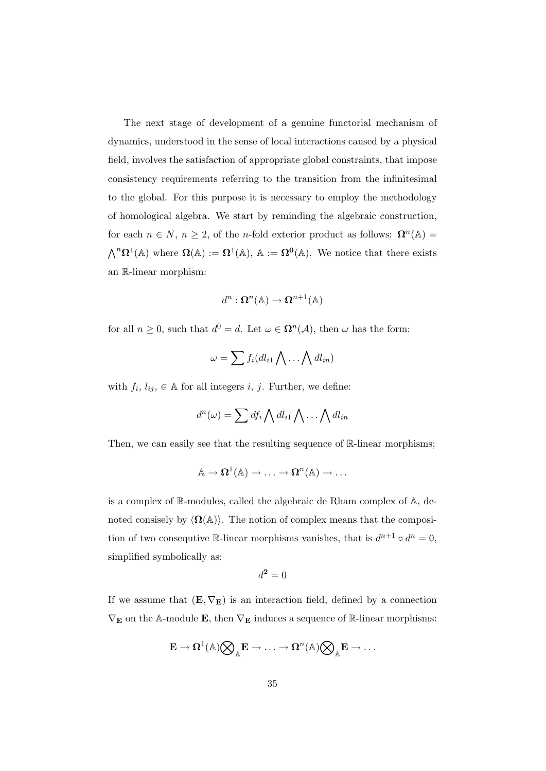The next stage of development of a genuine functorial mechanism of dynamics, understood in the sense of local interactions caused by a physical field, involves the satisfaction of appropriate global constraints, that impose consistency requirements referring to the transition from the infinitesimal to the global. For this purpose it is necessary to employ the methodology of homological algebra. We start by reminding the algebraic construction, for each  $n \in N$ ,  $n \geq 2$ , of the *n*-fold exterior product as follows:  $\Omega^{n}(\mathbb{A}) =$  $\bigwedge^n \Omega^1(\mathbb{A})$  where  $\Omega(\mathbb{A}) := \Omega^1(\mathbb{A}), \mathbb{A} := \Omega^0(\mathbb{A}).$  We notice that there exists an R-linear morphism:

$$
d^n: \mathbf{\Omega}^n(\mathbb{A}) \to \mathbf{\Omega}^{n+1}(\mathbb{A})
$$

for all  $n \geq 0$ , such that  $d^0 = d$ . Let  $\omega \in \mathbf{\Omega}^n(\mathcal{A})$ , then  $\omega$  has the form:

$$
\omega = \sum f_i(d l_{i1} \bigwedge \dots \bigwedge d l_{in})
$$

with  $f_i, l_{ij}, \in \mathbb{A}$  for all integers i, j. Further, we define:

$$
d^n(\omega) = \sum df_i \bigwedge dl_{i1} \bigwedge \dots \bigwedge dl_{in}
$$

Then, we can easily see that the resulting sequence of  $\mathbb{R}$ -linear morphisms;

$$
\mathbb{A}\to\boldsymbol{\Omega}^1(\mathbb{A})\to\ldots\to\boldsymbol{\Omega}^n(\mathbb{A})\to\ldots
$$

is a complex of R-modules, called the algebraic de Rham complex of A, denoted consisely by  $\langle \Omega(\mathbb{A}) \rangle$ . The notion of complex means that the composition of two consequtive R-linear morphisms vanishes, that is  $d^{n+1} \circ d^n = 0$ , simplified symbolically as:

$$
d^2 = 0
$$

If we assume that  $(E, \nabla_E)$  is an interaction field, defined by a connection  $\nabla_{\mathbf{E}}$  on the A-module **E**, then  $\nabla_{\mathbf{E}}$  induces a sequence of R-linear morphisms:

$$
\mathbf{E}\rightarrow\boldsymbol{\Omega}^1(\mathbb{A})\bigotimes\nolimits_{\mathbb{A}}\mathbf{E}\rightarrow\ldots\rightarrow\boldsymbol{\Omega}^n(\mathbb{A})\bigotimes\nolimits_{\mathbb{A}}\mathbf{E}\rightarrow\ldots
$$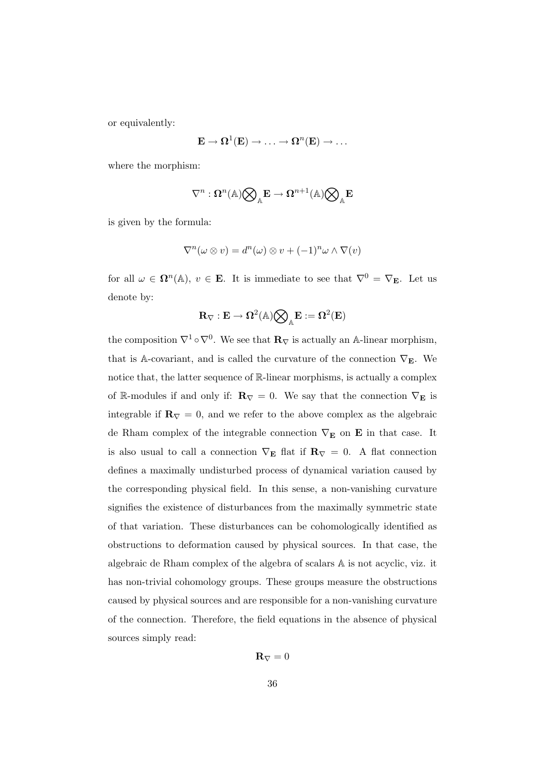or equivalently:

$$
\mathbf{E}\to\bm{\Omega}^1(\mathbf{E})\to\ldots\to\bm{\Omega}^n(\mathbf{E})\to\ldots
$$

where the morphism:

$$
\nabla^n : \mathbf{\Omega}^n(\mathbb{A}) {\bigotimes}_{\mathbb{A}} \mathbf{E} \to \mathbf{\Omega}^{n+1}(\mathbb{A}) {\bigotimes}_{\mathbb{A}} \mathbf{E}
$$

is given by the formula:

$$
\nabla^n(\omega \otimes v) = d^n(\omega) \otimes v + (-1)^n \omega \wedge \nabla(v)
$$

for all  $\omega \in \Omega^n(\mathbb{A}), v \in \mathbf{E}$ . It is immediate to see that  $\nabla^0 = \nabla_{\mathbf{E}}$ . Let us denote by:

$$
\mathbf{R}_\nabla : \mathbf{E} \to \Omega^2(\mathbb{A})\bigotimes_\mathbb{A} \mathbf{E} := \Omega^2(\mathbf{E})
$$

the composition  $\nabla^1 \circ \nabla^0$ . We see that  $\mathbf{R}_{\nabla}$  is actually an A-linear morphism, that is A-covariant, and is called the curvature of the connection  $\nabla_{\mathbf{E}}$ . We notice that, the latter sequence of R-linear morphisms, is actually a complex of R-modules if and only if:  $\mathbf{R}_{\nabla} = 0$ . We say that the connection  $\nabla_{\mathbf{E}}$  is integrable if  $\mathbf{R}_{\nabla} = 0$ , and we refer to the above complex as the algebraic de Rham complex of the integrable connection  $\nabla_{\mathbf{E}}$  on  $\mathbf{E}$  in that case. It is also usual to call a connection  $\nabla_{\mathbf{E}}$  flat if  $\mathbf{R}_{\nabla} = 0$ . A flat connection defines a maximally undisturbed process of dynamical variation caused by the corresponding physical field. In this sense, a non-vanishing curvature signifies the existence of disturbances from the maximally symmetric state of that variation. These disturbances can be cohomologically identified as obstructions to deformation caused by physical sources. In that case, the algebraic de Rham complex of the algebra of scalars A is not acyclic, viz. it has non-trivial cohomology groups. These groups measure the obstructions caused by physical sources and are responsible for a non-vanishing curvature of the connection. Therefore, the field equations in the absence of physical sources simply read:

$$
{\bf R}_{\nabla}=0
$$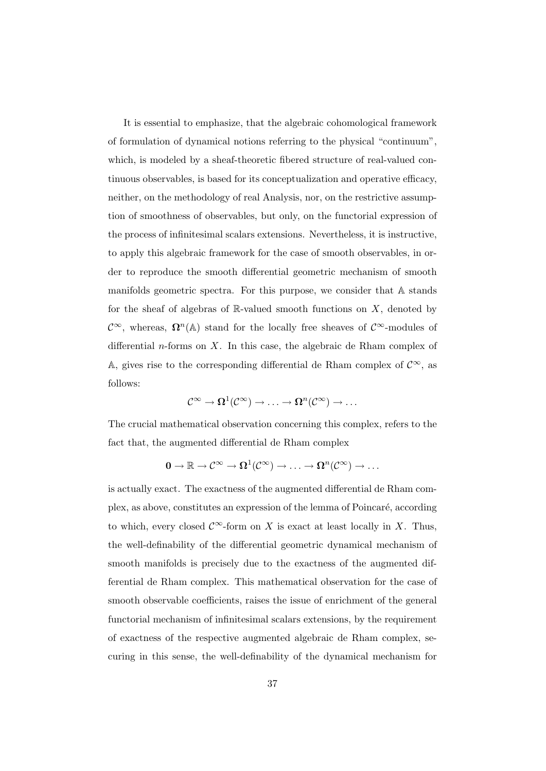It is essential to emphasize, that the algebraic cohomological framework of formulation of dynamical notions referring to the physical "continuum", which, is modeled by a sheaf-theoretic fibered structure of real-valued continuous observables, is based for its conceptualization and operative efficacy, neither, on the methodology of real Analysis, nor, on the restrictive assumption of smoothness of observables, but only, on the functorial expression of the process of infinitesimal scalars extensions. Nevertheless, it is instructive, to apply this algebraic framework for the case of smooth observables, in order to reproduce the smooth differential geometric mechanism of smooth manifolds geometric spectra. For this purpose, we consider that A stands for the sheaf of algebras of  $\mathbb{R}$ -valued smooth functions on X, denoted by  $\mathcal{C}^{\infty}$ , whereas,  $\mathbf{\Omega}^{n}(\mathbb{A})$  stand for the locally free sheaves of  $\mathcal{C}^{\infty}$ -modules of differential *n*-forms on  $X$ . In this case, the algebraic de Rham complex of A, gives rise to the corresponding differential de Rham complex of  $\mathcal{C}^{\infty}$ , as follows:

$$
\mathcal{C}^{\infty} \to \Omega^1(\mathcal{C}^{\infty}) \to \ldots \to \Omega^n(\mathcal{C}^{\infty}) \to \ldots
$$

The crucial mathematical observation concerning this complex, refers to the fact that, the augmented differential de Rham complex

$$
0\rightarrow \mathbb{R}\rightarrow \mathcal{C}^\infty\rightarrow \Omega^1(\mathcal{C}^\infty)\rightarrow \ldots \rightarrow \Omega^n(\mathcal{C}^\infty)\rightarrow \ldots
$$

is actually exact. The exactness of the augmented differential de Rham complex, as above, constitutes an expression of the lemma of Poincar´e, according to which, every closed  $\mathcal{C}^{\infty}$ -form on X is exact at least locally in X. Thus, the well-definability of the differential geometric dynamical mechanism of smooth manifolds is precisely due to the exactness of the augmented differential de Rham complex. This mathematical observation for the case of smooth observable coefficients, raises the issue of enrichment of the general functorial mechanism of infinitesimal scalars extensions, by the requirement of exactness of the respective augmented algebraic de Rham complex, securing in this sense, the well-definability of the dynamical mechanism for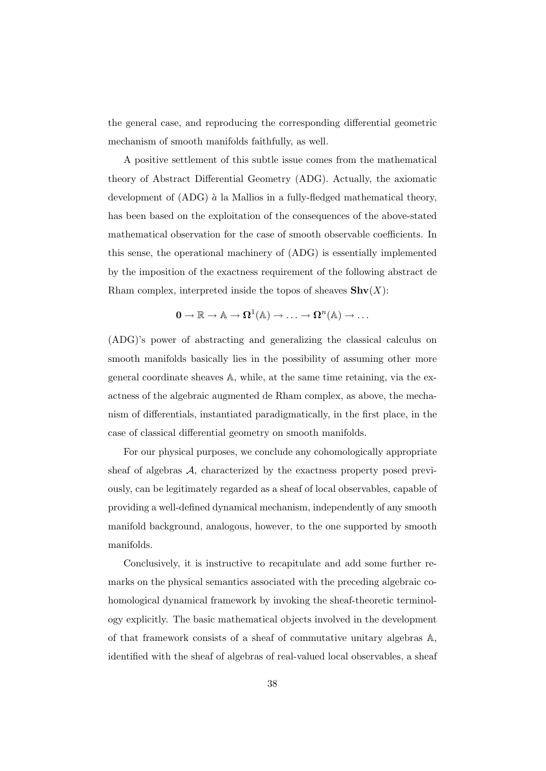the general case, and reproducing the corresponding differential geometric mechanism of smooth manifolds faithfully, as well.

A positive settlement of this subtle issue comes from the mathematical theory of Abstract Differential Geometry (ADG). Actually, the axiomatic development of  $(ADG)$  à la Mallios in a fully-fledged mathematical theory, has been based on the exploitation of the consequences of the above-stated mathematical observation for the case of smooth observable coefficients. In this sense, the operational machinery of (ADG) is essentially implemented by the imposition of the exactness requirement of the following abstract de Rham complex, interpreted inside the topos of sheaves  $\mathbf{Shv}(X)$ :

$$
0\to \mathbb{R}\to \mathbb{A}\to \Omega^1(\mathbb{A})\to \ldots \to \Omega^n(\mathbb{A})\to \ldots
$$

(ADG)'s power of abstracting and generalizing the classical calculus on smooth manifolds basically lies in the possibility of assuming other more general coordinate sheaves A, while, at the same time retaining, via the exactness of the algebraic augmented de Rham complex, as above, the mechanism of differentials, instantiated paradigmatically, in the first place, in the case of classical differential geometry on smooth manifolds.

For our physical purposes, we conclude any cohomologically appropriate sheaf of algebras A, characterized by the exactness property posed previously, can be legitimately regarded as a sheaf of local observables, capable of providing a well-defined dynamical mechanism, independently of any smooth manifold background, analogous, however, to the one supported by smooth manifolds.

Conclusively, it is instructive to recapitulate and add some further remarks on the physical semantics associated with the preceding algebraic cohomological dynamical framework by invoking the sheaf-theoretic terminology explicitly. The basic mathematical objects involved in the development of that framework consists of a sheaf of commutative unitary algebras A, identified with the sheaf of algebras of real-valued local observables, a sheaf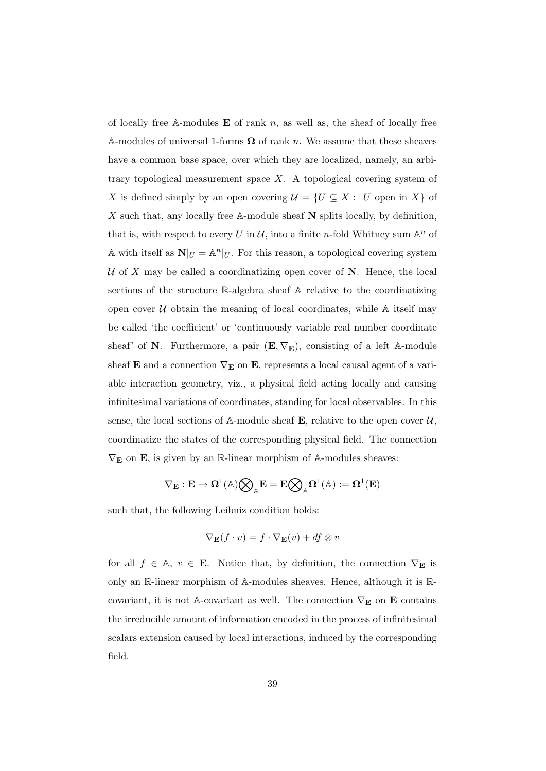of locally free A-modules  $E$  of rank n, as well as, the sheaf of locally free A-modules of universal 1-forms  $\Omega$  of rank n. We assume that these sheaves have a common base space, over which they are localized, namely, an arbitrary topological measurement space  $X$ . A topological covering system of X is defined simply by an open covering  $\mathcal{U} = \{U \subseteq X : U \text{ open in } X\}$  of  $X$  such that, any locally free A-module sheaf  $N$  splits locally, by definition, that is, with respect to every U in U, into a finite n-fold Whitney sum  $\mathbb{A}^n$  of A with itself as  $N|_U = \mathbb{A}^n|_U$ . For this reason, a topological covering system U of X may be called a coordinatizing open cover of  $N$ . Hence, the local sections of the structure R-algebra sheaf A relative to the coordinatizing open cover  $U$  obtain the meaning of local coordinates, while  $A$  itself may be called 'the coefficient' or 'continuously variable real number coordinate sheaf' of N. Furthermore, a pair  $(E, \nabla_E)$ , consisting of a left A-module sheaf **E** and a connection  $\nabla$ **E** on **E**, represents a local causal agent of a variable interaction geometry, viz., a physical field acting locally and causing infinitesimal variations of coordinates, standing for local observables. In this sense, the local sections of A-module sheaf  $E$ , relative to the open cover  $U$ , coordinatize the states of the corresponding physical field. The connection  $\nabla_{\mathbf{E}}$  on **E**, is given by an R-linear morphism of A-modules sheaves:

$$
\nabla_{\mathbf{E}}:\mathbf{E}\rightarrow \Omega^1(\mathbb{A})\bigotimes\nolimits_{\mathbb{A}}\mathbf{E}=\mathbf{E}\bigotimes\nolimits_{\mathbb{A}}\Omega^1(\mathbb{A}):=\Omega^1(\mathbf{E})
$$

such that, the following Leibniz condition holds:

$$
\nabla_{\mathbf{E}}(f \cdot v) = f \cdot \nabla_{\mathbf{E}}(v) + df \otimes v
$$

for all  $f \in \mathbb{A}$ ,  $v \in \mathbf{E}$ . Notice that, by definition, the connection  $\nabla_{\mathbf{E}}$  is only an R-linear morphism of A-modules sheaves. Hence, although it is Rcovariant, it is not A-covariant as well. The connection  $\nabla_{\mathbf{E}}$  on **E** contains the irreducible amount of information encoded in the process of infinitesimal scalars extension caused by local interactions, induced by the corresponding field.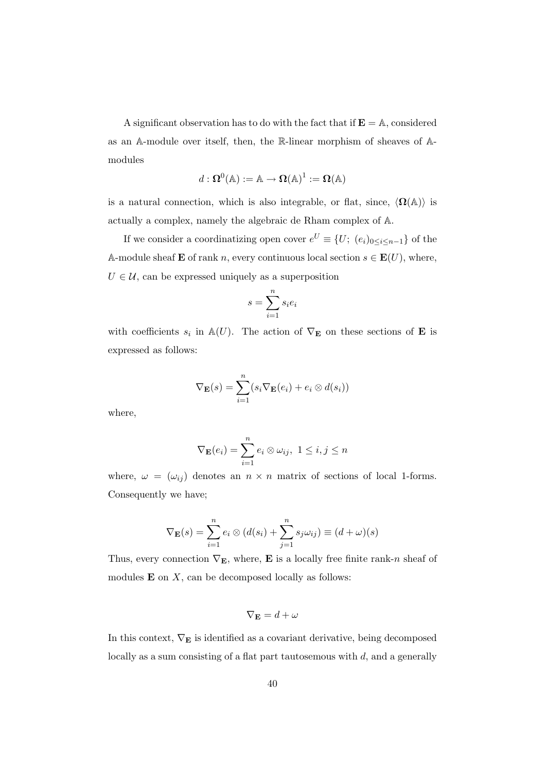A significant observation has to do with the fact that if  $\mathbf{E} = \mathbf{A}$ , considered as an A-module over itself, then, the R-linear morphism of sheaves of Amodules

$$
d: \Omega^0(\mathbb{A}) := \mathbb{A} \to \Omega(\mathbb{A})^1 := \Omega(\mathbb{A})
$$

is a natural connection, which is also integrable, or flat, since,  $\langle \Omega(\mathbb{A}) \rangle$  is actually a complex, namely the algebraic de Rham complex of A.

If we consider a coordinatizing open cover  $e^U \equiv \{U; (e_i)_{0 \leq i \leq n-1}\}$  of the A-module sheaf **E** of rank n, every continuous local section  $s \in \mathbf{E}(U)$ , where,  $U \in \mathcal{U}$ , can be expressed uniquely as a superposition

$$
s = \sum_{i=1}^{n} s_i e_i
$$

with coefficients  $s_i$  in  $\mathbb{A}(U)$ . The action of  $\nabla$ **E** on these sections of **E** is expressed as follows:

$$
\nabla_{\mathbf{E}}(s) = \sum_{i=1}^{n} (s_i \nabla_{\mathbf{E}}(e_i) + e_i \otimes d(s_i))
$$

where,

$$
\nabla_{\mathbf{E}}(e_i) = \sum_{i=1}^n e_i \otimes \omega_{ij}, \ 1 \le i, j \le n
$$

where,  $\omega = (\omega_{ij})$  denotes an  $n \times n$  matrix of sections of local 1-forms. Consequently we have;

$$
\nabla_{\mathbf{E}}(s) = \sum_{i=1}^{n} e_i \otimes (d(s_i) + \sum_{j=1}^{n} s_j \omega_{ij}) \equiv (d + \omega)(s)
$$

Thus, every connection  $\nabla_{\mathbf{E}}$ , where, **E** is a locally free finite rank-*n* sheaf of modules  $E$  on  $X$ , can be decomposed locally as follows:

$$
\nabla_{\mathbf{E}} = d + \omega
$$

In this context,  $\nabla_{\mathbf{E}}$  is identified as a covariant derivative, being decomposed locally as a sum consisting of a flat part tautosemous with  $d$ , and a generally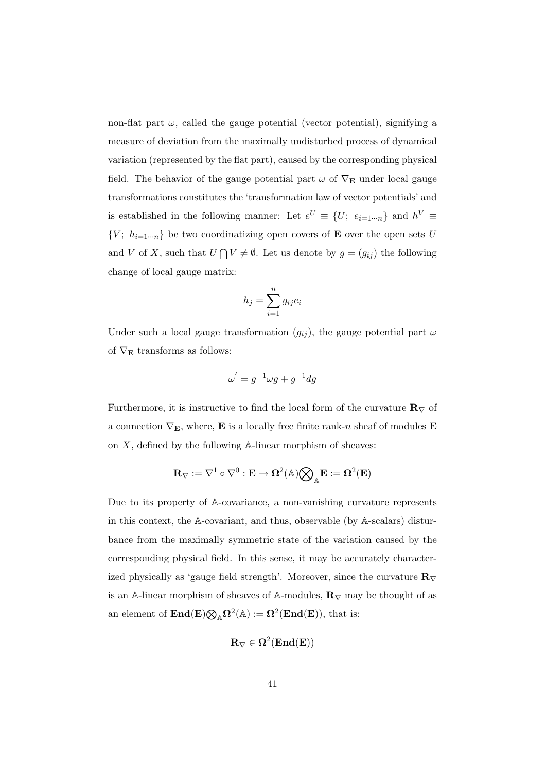non-flat part  $\omega$ , called the gauge potential (vector potential), signifying a measure of deviation from the maximally undisturbed process of dynamical variation (represented by the flat part), caused by the corresponding physical field. The behavior of the gauge potential part  $\omega$  of  $\nabla_{\mathbf{E}}$  under local gauge transformations constitutes the 'transformation law of vector potentials' and is established in the following manner: Let  $e^U \equiv \{U; e_{i=1\cdots n}\}\$  and  $h^V \equiv$  ${V; h_{i=1\cdots n}}$  be two coordinatizing open covers of **E** over the open sets U and V of X, such that  $U \cap V \neq \emptyset$ . Let us denote by  $g = (g_{ij})$  the following change of local gauge matrix:

$$
h_j = \sum_{i=1}^n g_{ij} e_i
$$

Under such a local gauge transformation  $(g_{ij})$ , the gauge potential part  $\omega$ of  $\nabla_{\mathbf{E}}$  transforms as follows:

$$
\omega^{'} = g^{-1}\omega g + g^{-1}dg
$$

Furthermore, it is instructive to find the local form of the curvature  $\mathbf{R}_{\nabla}$  of a connection  $\nabla_{\mathbf{E}}$ , where, **E** is a locally free finite rank-*n* sheaf of modules **E** on  $X$ , defined by the following  $A$ -linear morphism of sheaves:

$$
\mathbf{R}_{\nabla}:=\nabla^1\circ\nabla^0:\mathbf{E}\rightarrow\Omega^2(\mathbb{A})\bigotimes_{\mathbb{A}}\mathbf{E}:=\Omega^2(\mathbf{E})
$$

Due to its property of A-covariance, a non-vanishing curvature represents in this context, the A-covariant, and thus, observable (by A-scalars) disturbance from the maximally symmetric state of the variation caused by the corresponding physical field. In this sense, it may be accurately characterized physically as 'gauge field strength'. Moreover, since the curvature  $\mathbf{R}_{\nabla}$ is an A-linear morphism of sheaves of A-modules,  $\mathbf{R}_{\nabla}$  may be thought of as an element of  $\text{End}(\mathbf{E})\bigotimes_{\mathbb{A}}\Omega^2(\mathbb{A}) := \Omega^2(\text{End}(\mathbf{E}))$ , that is:

$$
\mathbf{R}_\nabla\in\Omega^2(\mathbf{End}( \mathbf{E}))
$$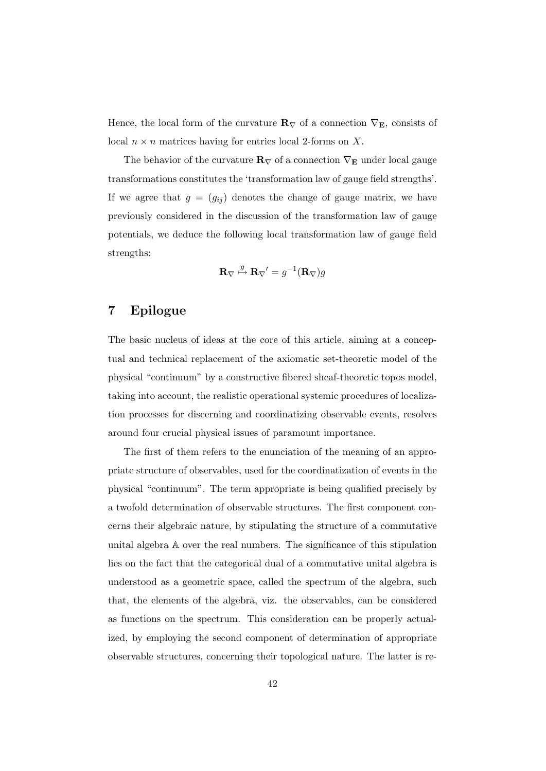Hence, the local form of the curvature  $\mathbf{R}_{\nabla}$  of a connection  $\nabla_{\mathbf{E}}$ , consists of local  $n \times n$  matrices having for entries local 2-forms on X.

The behavior of the curvature  ${\bf R}_\nabla$  of a connection  $\nabla_{\bf E}$  under local gauge transformations constitutes the 'transformation law of gauge field strengths'. If we agree that  $g = (g_{ii})$  denotes the change of gauge matrix, we have previously considered in the discussion of the transformation law of gauge potentials, we deduce the following local transformation law of gauge field strengths:

$$
\mathbf{R}_{\nabla} \stackrel{g}{\mapsto} \mathbf{R}_{\nabla}{}' = g^{-1}(\mathbf{R}_{\nabla})g
$$

### 7 Epilogue

The basic nucleus of ideas at the core of this article, aiming at a conceptual and technical replacement of the axiomatic set-theoretic model of the physical "continuum" by a constructive fibered sheaf-theoretic topos model, taking into account, the realistic operational systemic procedures of localization processes for discerning and coordinatizing observable events, resolves around four crucial physical issues of paramount importance.

The first of them refers to the enunciation of the meaning of an appropriate structure of observables, used for the coordinatization of events in the physical "continuum". The term appropriate is being qualified precisely by a twofold determination of observable structures. The first component concerns their algebraic nature, by stipulating the structure of a commutative unital algebra A over the real numbers. The significance of this stipulation lies on the fact that the categorical dual of a commutative unital algebra is understood as a geometric space, called the spectrum of the algebra, such that, the elements of the algebra, viz. the observables, can be considered as functions on the spectrum. This consideration can be properly actualized, by employing the second component of determination of appropriate observable structures, concerning their topological nature. The latter is re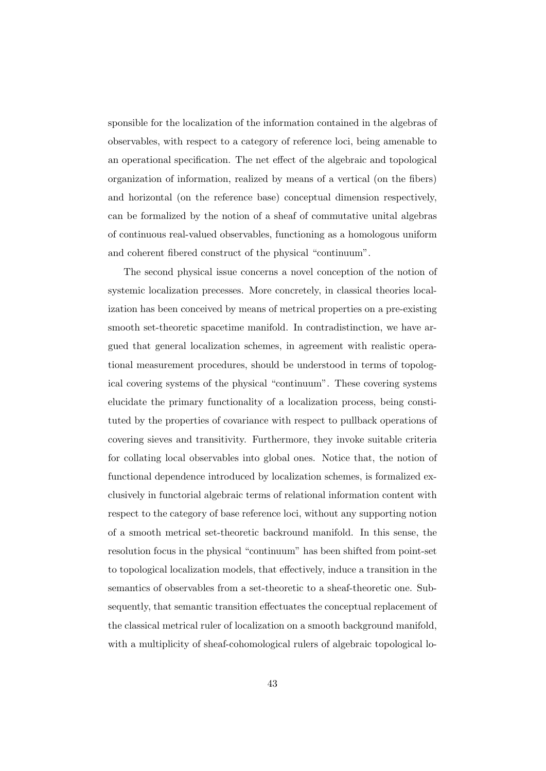sponsible for the localization of the information contained in the algebras of observables, with respect to a category of reference loci, being amenable to an operational specification. The net effect of the algebraic and topological organization of information, realized by means of a vertical (on the fibers) and horizontal (on the reference base) conceptual dimension respectively, can be formalized by the notion of a sheaf of commutative unital algebras of continuous real-valued observables, functioning as a homologous uniform and coherent fibered construct of the physical "continuum".

The second physical issue concerns a novel conception of the notion of systemic localization precesses. More concretely, in classical theories localization has been conceived by means of metrical properties on a pre-existing smooth set-theoretic spacetime manifold. In contradistinction, we have argued that general localization schemes, in agreement with realistic operational measurement procedures, should be understood in terms of topological covering systems of the physical "continuum". These covering systems elucidate the primary functionality of a localization process, being constituted by the properties of covariance with respect to pullback operations of covering sieves and transitivity. Furthermore, they invoke suitable criteria for collating local observables into global ones. Notice that, the notion of functional dependence introduced by localization schemes, is formalized exclusively in functorial algebraic terms of relational information content with respect to the category of base reference loci, without any supporting notion of a smooth metrical set-theoretic backround manifold. In this sense, the resolution focus in the physical "continuum" has been shifted from point-set to topological localization models, that effectively, induce a transition in the semantics of observables from a set-theoretic to a sheaf-theoretic one. Subsequently, that semantic transition effectuates the conceptual replacement of the classical metrical ruler of localization on a smooth background manifold, with a multiplicity of sheaf-cohomological rulers of algebraic topological lo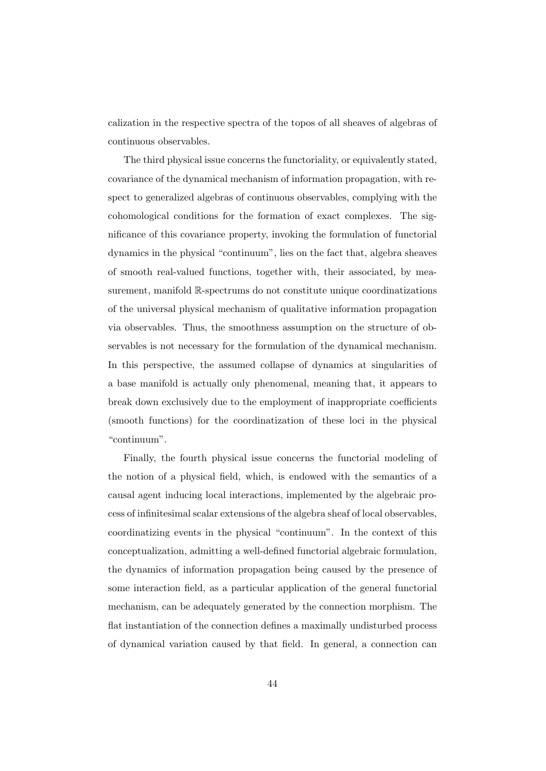calization in the respective spectra of the topos of all sheaves of algebras of continuous observables.

The third physical issue concerns the functoriality, or equivalently stated, covariance of the dynamical mechanism of information propagation, with respect to generalized algebras of continuous observables, complying with the cohomological conditions for the formation of exact complexes. The significance of this covariance property, invoking the formulation of functorial dynamics in the physical "continuum", lies on the fact that, algebra sheaves of smooth real-valued functions, together with, their associated, by measurement, manifold R-spectrums do not constitute unique coordinatizations of the universal physical mechanism of qualitative information propagation via observables. Thus, the smoothness assumption on the structure of observables is not necessary for the formulation of the dynamical mechanism. In this perspective, the assumed collapse of dynamics at singularities of a base manifold is actually only phenomenal, meaning that, it appears to break down exclusively due to the employment of inappropriate coefficients (smooth functions) for the coordinatization of these loci in the physical "continuum".

Finally, the fourth physical issue concerns the functorial modeling of the notion of a physical field, which, is endowed with the semantics of a causal agent inducing local interactions, implemented by the algebraic process of infinitesimal scalar extensions of the algebra sheaf of local observables, coordinatizing events in the physical "continuum". In the context of this conceptualization, admitting a well-defined functorial algebraic formulation, the dynamics of information propagation being caused by the presence of some interaction field, as a particular application of the general functorial mechanism, can be adequately generated by the connection morphism. The flat instantiation of the connection defines a maximally undisturbed process of dynamical variation caused by that field. In general, a connection can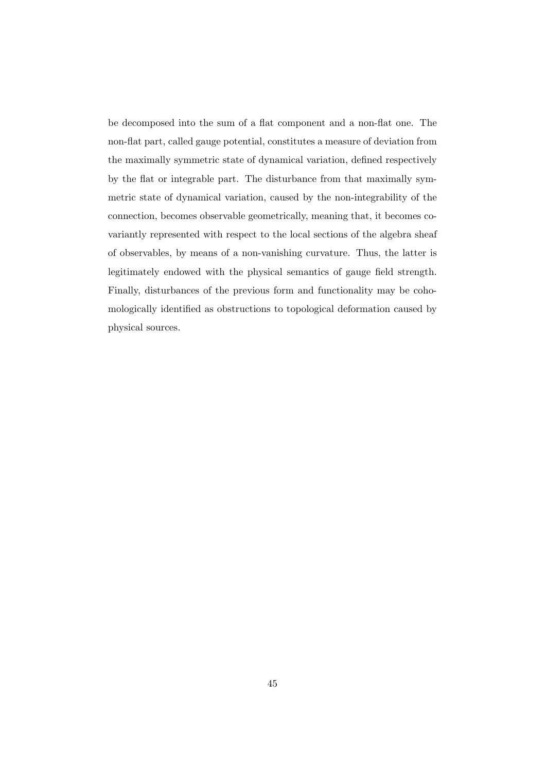be decomposed into the sum of a flat component and a non-flat one. The non-flat part, called gauge potential, constitutes a measure of deviation from the maximally symmetric state of dynamical variation, defined respectively by the flat or integrable part. The disturbance from that maximally symmetric state of dynamical variation, caused by the non-integrability of the connection, becomes observable geometrically, meaning that, it becomes covariantly represented with respect to the local sections of the algebra sheaf of observables, by means of a non-vanishing curvature. Thus, the latter is legitimately endowed with the physical semantics of gauge field strength. Finally, disturbances of the previous form and functionality may be cohomologically identified as obstructions to topological deformation caused by physical sources.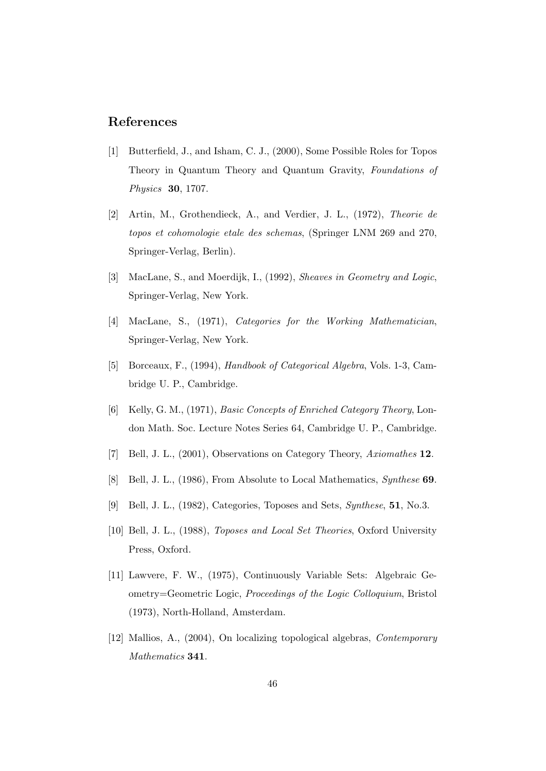#### References

- [1] Butterfield, J., and Isham, C. J., (2000), Some Possible Roles for Topos Theory in Quantum Theory and Quantum Gravity, Foundations of Physics 30, 1707.
- [2] Artin, M., Grothendieck, A., and Verdier, J. L., (1972), Theorie de topos et cohomologie etale des schemas, (Springer LNM 269 and 270, Springer-Verlag, Berlin).
- [3] MacLane, S., and Moerdijk, I., (1992), *Sheaves in Geometry and Logic*, Springer-Verlag, New York.
- [4] MacLane, S., (1971), Categories for the Working Mathematician, Springer-Verlag, New York.
- [5] Borceaux, F., (1994), Handbook of Categorical Algebra, Vols. 1-3, Cambridge U. P., Cambridge.
- [6] Kelly, G. M., (1971), Basic Concepts of Enriched Category Theory, London Math. Soc. Lecture Notes Series 64, Cambridge U. P., Cambridge.
- [7] Bell, J. L., (2001), Observations on Category Theory, Axiomathes 12.
- [8] Bell, J. L., (1986), From Absolute to Local Mathematics, Synthese 69.
- [9] Bell, J. L., (1982), Categories, Toposes and Sets, Synthese, 51, No.3.
- [10] Bell, J. L., (1988), Toposes and Local Set Theories, Oxford University Press, Oxford.
- [11] Lawvere, F. W., (1975), Continuously Variable Sets: Algebraic Geometry=Geometric Logic, Proceedings of the Logic Colloquium, Bristol (1973), North-Holland, Amsterdam.
- [12] Mallios, A., (2004), On localizing topological algebras, Contemporary Mathematics 341.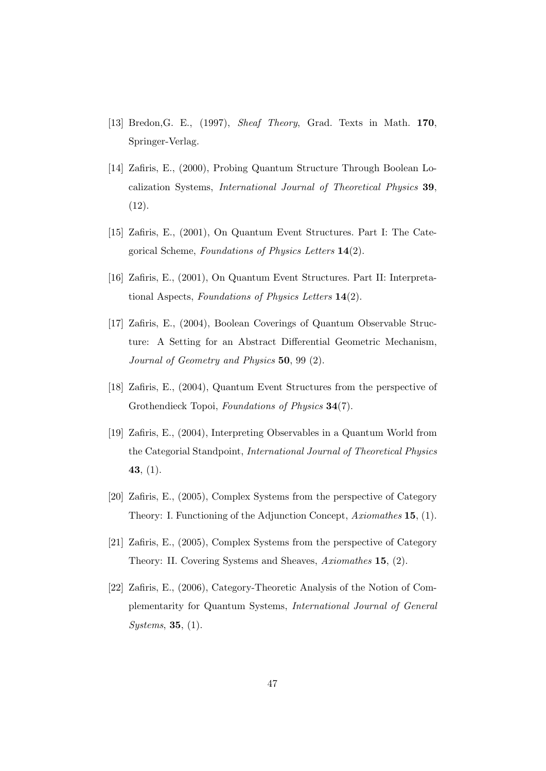- [13] Bredon,G. E., (1997), Sheaf Theory, Grad. Texts in Math. 170, Springer-Verlag.
- [14] Zafiris, E., (2000), Probing Quantum Structure Through Boolean Localization Systems, International Journal of Theoretical Physics 39, (12).
- [15] Zafiris, E., (2001), On Quantum Event Structures. Part I: The Categorical Scheme, Foundations of Physics Letters 14(2).
- [16] Zafiris, E., (2001), On Quantum Event Structures. Part II: Interpretational Aspects, Foundations of Physics Letters 14(2).
- [17] Zafiris, E., (2004), Boolean Coverings of Quantum Observable Structure: A Setting for an Abstract Differential Geometric Mechanism, Journal of Geometry and Physics 50, 99 (2).
- [18] Zafiris, E., (2004), Quantum Event Structures from the perspective of Grothendieck Topoi, Foundations of Physics 34(7).
- [19] Zafiris, E., (2004), Interpreting Observables in a Quantum World from the Categorial Standpoint, International Journal of Theoretical Physics 43, (1).
- [20] Zafiris, E., (2005), Complex Systems from the perspective of Category Theory: I. Functioning of the Adjunction Concept, Axiomathes 15, (1).
- [21] Zafiris, E., (2005), Complex Systems from the perspective of Category Theory: II. Covering Systems and Sheaves, Axiomathes 15, (2).
- [22] Zafiris, E., (2006), Category-Theoretic Analysis of the Notion of Complementarity for Quantum Systems, International Journal of General Systems, 35, (1).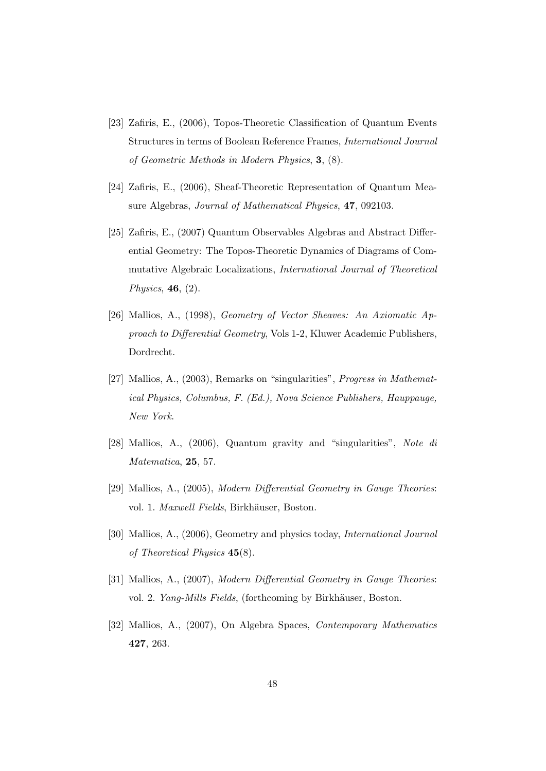- [23] Zafiris, E., (2006), Topos-Theoretic Classification of Quantum Events Structures in terms of Boolean Reference Frames, International Journal of Geometric Methods in Modern Physics, 3, (8).
- [24] Zafiris, E., (2006), Sheaf-Theoretic Representation of Quantum Measure Algebras, Journal of Mathematical Physics, 47, 092103.
- [25] Zafiris, E., (2007) Quantum Observables Algebras and Abstract Differential Geometry: The Topos-Theoretic Dynamics of Diagrams of Commutative Algebraic Localizations, International Journal of Theoretical Physics,  $46$ ,  $(2)$ .
- [26] Mallios, A., (1998), Geometry of Vector Sheaves: An Axiomatic Approach to Differential Geometry, Vols 1-2, Kluwer Academic Publishers, Dordrecht.
- [27] Mallios, A., (2003), Remarks on "singularities", Progress in Mathematical Physics, Columbus, F. (Ed.), Nova Science Publishers, Hauppauge, New York.
- [28] Mallios, A., (2006), Quantum gravity and "singularities", Note di Matematica, 25, 57.
- [29] Mallios, A., (2005), Modern Differential Geometry in Gauge Theories: vol. 1. Maxwell Fields, Birkhäuser, Boston.
- [30] Mallios, A., (2006), Geometry and physics today, International Journal of Theoretical Physics 45(8).
- [31] Mallios, A., (2007), Modern Differential Geometry in Gauge Theories: vol. 2. *Yang-Mills Fields*, (forthcoming by Birkhäuser, Boston.
- [32] Mallios, A., (2007), On Algebra Spaces, Contemporary Mathematics 427, 263.